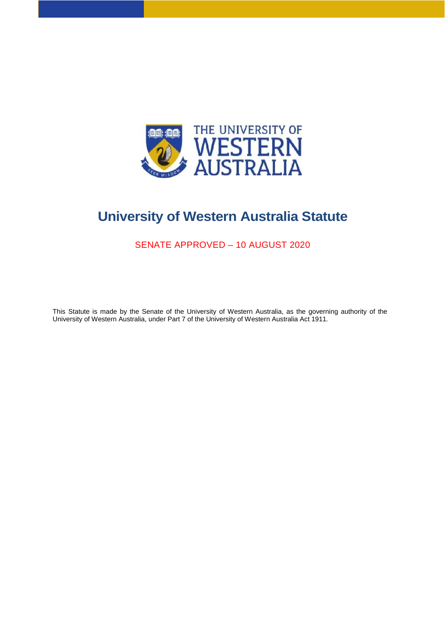

# **University of Western Australia Statute**

SENATE APPROVED – 10 AUGUST 2020

This Statute is made by the Senate of the University of Western Australia, as the governing authority of the University of Western Australia, under Part 7 of the University of Western Australia Act 1911*.*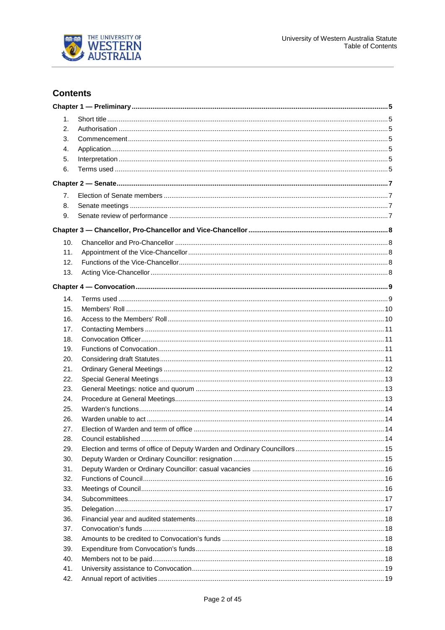

## **Contents**

| 1.  |                             |  |
|-----|-----------------------------|--|
| 2.  |                             |  |
| 3.  |                             |  |
| 4.  |                             |  |
| 5.  |                             |  |
| 6.  |                             |  |
|     |                             |  |
|     |                             |  |
| 7.  |                             |  |
| 8.  |                             |  |
| 9.  |                             |  |
|     |                             |  |
| 10. |                             |  |
| 11. |                             |  |
| 12. |                             |  |
| 13. |                             |  |
|     |                             |  |
| 14. |                             |  |
| 15. |                             |  |
| 16. |                             |  |
|     |                             |  |
| 17. |                             |  |
| 18. |                             |  |
| 19. |                             |  |
| 20. |                             |  |
| 21. |                             |  |
| 22. |                             |  |
| 23. |                             |  |
| 24. |                             |  |
| 25. |                             |  |
| 26. |                             |  |
| 27. |                             |  |
| 28. | . 14<br>Council established |  |
| 29. |                             |  |
| 30. |                             |  |
| 31. |                             |  |
| 32. |                             |  |
| 33. |                             |  |
| 34. |                             |  |
| 35. |                             |  |
| 36. |                             |  |
| 37. |                             |  |
| 38. |                             |  |
| 39. |                             |  |
| 40. |                             |  |
| 41. |                             |  |
| 42. |                             |  |
|     |                             |  |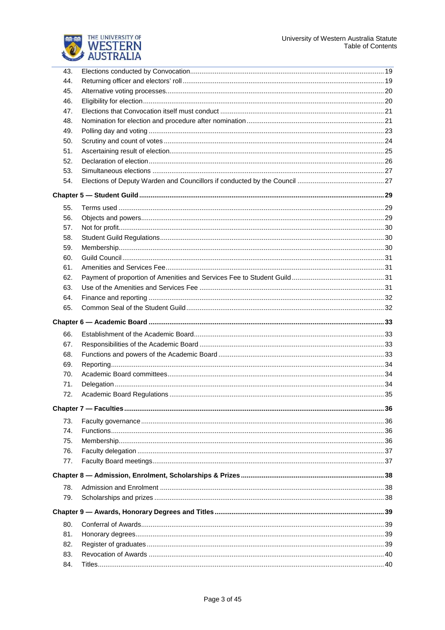



| 43. |  |
|-----|--|
| 44. |  |
| 45. |  |
| 46. |  |
| 47. |  |
| 48. |  |
| 49. |  |
| 50. |  |
| 51. |  |
| 52. |  |
| 53. |  |
| 54. |  |
|     |  |
| 55. |  |
| 56. |  |
| 57. |  |
| 58. |  |
| 59. |  |
| 60. |  |
| 61. |  |
| 62. |  |
| 63. |  |
| 64. |  |
| 65. |  |
|     |  |
| 66. |  |
| 67. |  |
| 68. |  |
| 69. |  |
| 70. |  |
| 71. |  |
| 72. |  |
|     |  |
| 73. |  |
| 74. |  |
| 75. |  |
| 76. |  |
| 77. |  |
|     |  |
| 78. |  |
|     |  |
| 79. |  |
|     |  |
| 80. |  |
| 81. |  |
| 82. |  |
| 83. |  |
| 84. |  |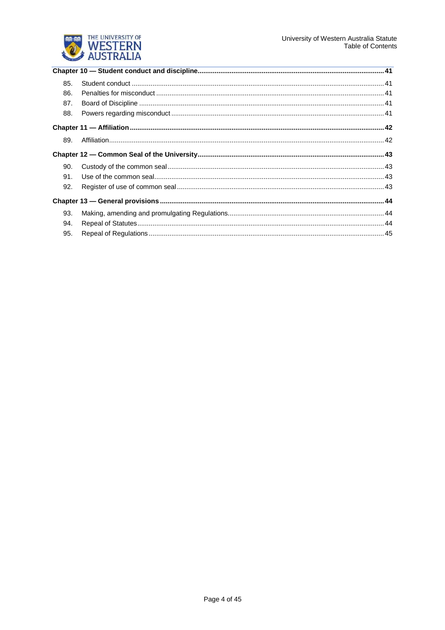

| 85. |  |
|-----|--|
| 86. |  |
| 87. |  |
| 88. |  |
|     |  |
| 89. |  |
|     |  |
| 90. |  |
| 91. |  |
| 92. |  |
|     |  |
| 93. |  |
| 94. |  |
| 95. |  |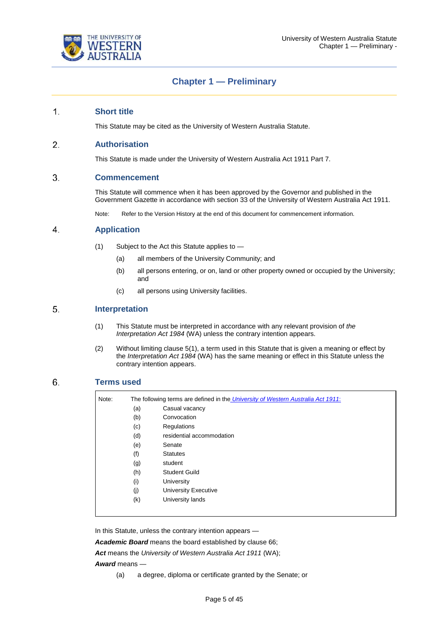

## **Chapter 1 — Preliminary**

#### $1<sub>1</sub>$ **Short title**

This Statute may be cited as the University of Western Australia Statute.

#### $2.$ **Authorisation**

This Statute is made under the University of Western Australia Act 1911 Part 7.

#### 3. **Commencement**

This Statute will commence when it has been approved by the Governor and published in the Government Gazette in accordance with section 33 of the University of Western Australia Act 1911.

Note: Refer to the Version History at the end of this document for commencement information.

#### $\overline{4}$ **Application**

- (1) Subject to the Act this Statute applies to
	- (a) all members of the University Community; and
	- (b) all persons entering, or on, land or other property owned or occupied by the University; and
	- (c) all persons using University facilities.

#### $5<sub>1</sub>$ **Interpretation**

- (1) This Statute must be interpreted in accordance with any relevant provision of *the Interpretation Act 1984* (WA) unless the contrary intention appears.
- (2) Without limiting clause 5(1), a term used in this Statute that is given a meaning or effect by the *Interpretation Act 1984* (WA) has the same meaning or effect in this Statute unless the contrary intention appears.

#### 6. **Terms used**

| (a) | Casual vacancy            |
|-----|---------------------------|
| (b) | Convocation               |
| (c) | Regulations               |
| (d) | residential accommodation |
| (e) | Senate                    |
| (f) | <b>Statutes</b>           |
| (g) | student                   |
| (h) | Student Guild             |
| (i) | University                |
| (i) | University Executive      |
| (k) | University lands          |

In this Statute, unless the contrary intention appears —

*Academic Board* means the board established by clause 66;

*Act* means the *University of Western Australia Act 1911* (WA);

*Award* means —

(a) a degree, diploma or certificate granted by the Senate; or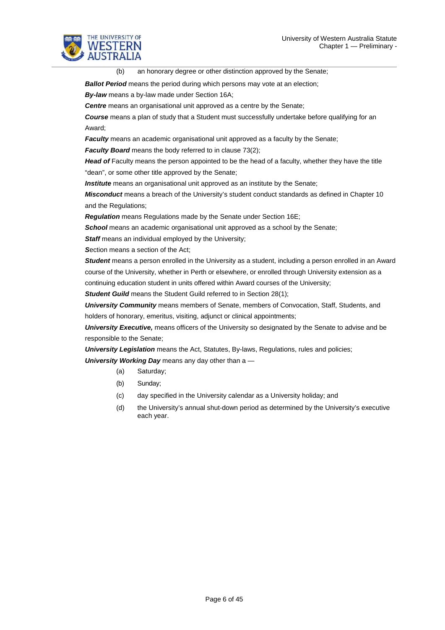

(b) an honorary degree or other distinction approved by the Senate;

**Ballot Period** means the period during which persons may vote at an election;

*By-law* means a by-law made under Section 16A;

**Centre** means an organisational unit approved as a centre by the Senate;

*Course* means a plan of study that a Student must successfully undertake before qualifying for an Award;

**Faculty** means an academic organisational unit approved as a faculty by the Senate;

*Faculty Board* means the body referred to in clause 73(2);

**Head of** Faculty means the person appointed to be the head of a faculty, whether they have the title "dean", or some other title approved by the Senate;

**Institute** means an organisational unit approved as an institute by the Senate;

*Misconduct* means a breach of the University's student conduct standards as defined in Chapter 10 and the Regulations;

*Regulation* means Regulations made by the Senate under Section 16E;

**School** means an academic organisational unit approved as a school by the Senate;

**Staff** means an individual employed by the University;

*S*ection means a section of the Act;

*Student* means a person enrolled in the University as a student, including a person enrolled in an Award course of the University, whether in Perth or elsewhere, or enrolled through University extension as a continuing education student in units offered within Award courses of the University;

**Student Guild** means the Student Guild referred to in Section 28(1);

*University Community* means members of Senate, members of Convocation, Staff, Students, and holders of honorary, emeritus, visiting, adjunct or clinical appointments;

*University Executive,* means officers of the University so designated by the Senate to advise and be responsible to the Senate;

**University Legislation** means the Act, Statutes, By-laws, Regulations, rules and policies; *University Working Day* means any day other than a —

- (a) Saturday;
- (b) Sunday;
- (c) day specified in the University calendar as a University holiday; and
- (d) the University's annual shut-down period as determined by the University's executive each year.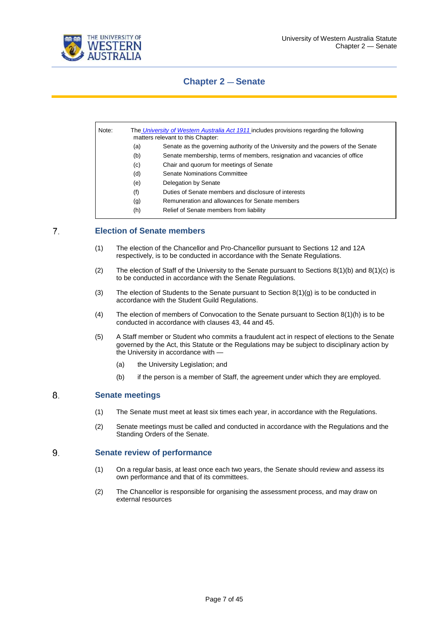



## **Chapter 2 — Senate**

| Note: |     | The University of Western Australia Act 1911 includes provisions regarding the following<br>matters relevant to this Chapter: |
|-------|-----|-------------------------------------------------------------------------------------------------------------------------------|
|       | (a) | Senate as the governing authority of the University and the powers of the Senate                                              |
|       | (b) | Senate membership, terms of members, resignation and vacancies of office                                                      |
|       | (c) | Chair and quorum for meetings of Senate                                                                                       |
|       | (d) | Senate Nominations Committee                                                                                                  |
|       | (e) | Delegation by Senate                                                                                                          |
|       | (f) | Duties of Senate members and disclosure of interests                                                                          |
|       | (g) | Remuneration and allowances for Senate members                                                                                |
|       | (h) | Relief of Senate members from liability                                                                                       |

#### $7<sub>1</sub>$ **Election of Senate members**

- (1) The election of the Chancellor and Pro-Chancellor pursuant to Sections 12 and 12A respectively, is to be conducted in accordance with the Senate Regulations.
- (2) The election of Staff of the University to the Senate pursuant to Sections  $8(1)(b)$  and  $8(1)(c)$  is to be conducted in accordance with the Senate Regulations.
- (3) The election of Students to the Senate pursuant to Section  $8(1)(g)$  is to be conducted in accordance with the Student Guild Regulations.
- (4) The election of members of Convocation to the Senate pursuant to Section  $8(1)(h)$  is to be conducted in accordance with clauses 43, 44 and 45.
- (5) A Staff member or Student who commits a fraudulent act in respect of elections to the Senate governed by the Act, this Statute or the Regulations may be subject to disciplinary action by the University in accordance with -
	- (a) the University Legislation; and
	- (b) if the person is a member of Staff, the agreement under which they are employed.

#### 8. **Senate meetings**

- (1) The Senate must meet at least six times each year, in accordance with the Regulations.
- (2) Senate meetings must be called and conducted in accordance with the Regulations and the Standing Orders of the Senate.

#### 9. **Senate review of performance**

- (1) On a regular basis, at least once each two years, the Senate should review and assess its own performance and that of its committees.
- (2) The Chancellor is responsible for organising the assessment process, and may draw on external resources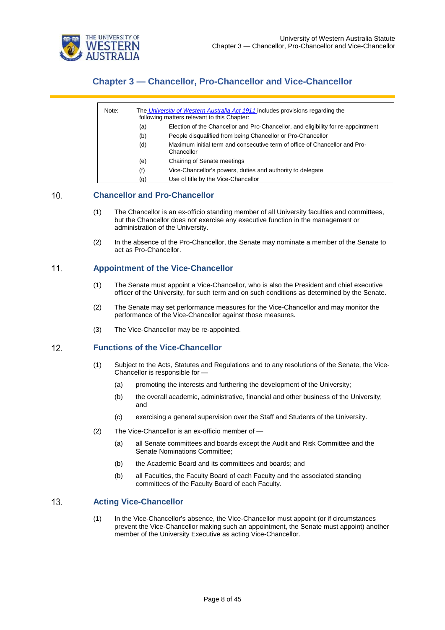

## **Chapter 3 — Chancellor, Pro-Chancellor and Vice-Chancellor**

| Note: | The University of Western Australia Act 1911 includes provisions regarding the<br>following matters relevant to this Chapter: |                                                                                          |  |  |
|-------|-------------------------------------------------------------------------------------------------------------------------------|------------------------------------------------------------------------------------------|--|--|
|       | (a)                                                                                                                           | Election of the Chancellor and Pro-Chancellor, and eligibility for re-appointment        |  |  |
|       | (b)                                                                                                                           | People disqualified from being Chancellor or Pro-Chancellor                              |  |  |
|       | (d)                                                                                                                           | Maximum initial term and consecutive term of office of Chancellor and Pro-<br>Chancellor |  |  |
|       | (e)                                                                                                                           | Chairing of Senate meetings                                                              |  |  |
|       | (f)                                                                                                                           | Vice-Chancellor's powers, duties and authority to delegate                               |  |  |
|       | (g)                                                                                                                           | Use of title by the Vice-Chancellor                                                      |  |  |

#### $10.$ **Chancellor and Pro-Chancellor**

- (1) The Chancellor is an ex-officio standing member of all University faculties and committees, but the Chancellor does not exercise any executive function in the management or administration of the University.
- (2) In the absence of the Pro-Chancellor, the Senate may nominate a member of the Senate to act as Pro-Chancellor.

#### $11.$ **Appointment of the Vice-Chancellor**

- (1) The Senate must appoint a Vice-Chancellor, who is also the President and chief executive officer of the University, for such term and on such conditions as determined by the Senate.
- (2) The Senate may set performance measures for the Vice-Chancellor and may monitor the performance of the Vice-Chancellor against those measures.
- (3) The Vice-Chancellor may be re-appointed.

#### $12.$ **Functions of the Vice-Chancellor**

- (1) Subject to the Acts, Statutes and Regulations and to any resolutions of the Senate, the Vice-Chancellor is responsible for —
	- (a) promoting the interests and furthering the development of the University;
	- (b) the overall academic, administrative, financial and other business of the University; and
	- (c) exercising a general supervision over the Staff and Students of the University.
- (2) The Vice-Chancellor is an ex-officio member of
	- (a) all Senate committees and boards except the Audit and Risk Committee and the Senate Nominations Committee;
	- (b) the Academic Board and its committees and boards; and
	- (b) all Faculties, the Faculty Board of each Faculty and the associated standing committees of the Faculty Board of each Faculty.

#### $13.$ **Acting Vice-Chancellor**

(1) In the Vice-Chancellor's absence, the Vice-Chancellor must appoint (or if circumstances prevent the Vice-Chancellor making such an appointment, the Senate must appoint) another member of the University Executive as acting Vice-Chancellor.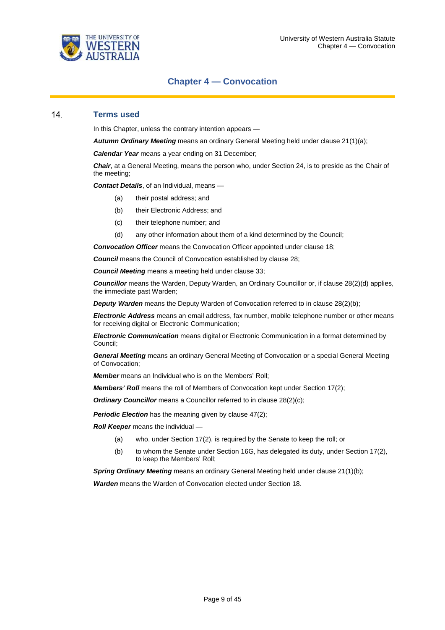

### **Chapter 4 — Convocation**

#### $14.$ **Terms used**

In this Chapter, unless the contrary intention appears —

*Autumn Ordinary Meeting* means an ordinary General Meeting held under clause 21(1)(a);

*Calendar Year* means a year ending on 31 December;

*Chair*, at a General Meeting, means the person who, under Section 24, is to preside as the Chair of the meeting;

*Contact Details*, of an Individual, means —

- (a) their postal address; and
- (b) their Electronic Address; and
- (c) their telephone number; and
- (d) any other information about them of a kind determined by the Council;

*Convocation Officer* means the Convocation Officer appointed under clause 18;

**Council** means the Council of Convocation established by clause 28;

*Council Meeting* means a meeting held under clause 33;

*Councillor* means the Warden, Deputy Warden, an Ordinary Councillor or, if clause 28(2)(d) applies, the immediate past Warden;

**Deputy Warden** means the Deputy Warden of Convocation referred to in clause 28(2)(b);

*Electronic Address* means an email address, fax number, mobile telephone number or other means for receiving digital or Electronic Communication;

*Electronic Communication* means digital or Electronic Communication in a format determined by Council;

*General Meeting* means an ordinary General Meeting of Convocation or a special General Meeting of Convocation;

*Member* means an Individual who is on the Members' Roll;

*Members' Roll* means the roll of Members of Convocation kept under Section 17(2);

**Ordinary Councillor** means a Councillor referred to in clause 28(2)(c);

**Periodic Election** has the meaning given by clause 47(2);

*Roll Keeper* means the individual —

- (a) who, under Section 17(2), is required by the Senate to keep the roll; or
- (b) to whom the Senate under Section 16G, has delegated its duty, under Section 17(2), to keep the Members' Roll;

**Spring Ordinary Meeting** means an ordinary General Meeting held under clause 21(1)(b);

*Warden* means the Warden of Convocation elected under Section 18.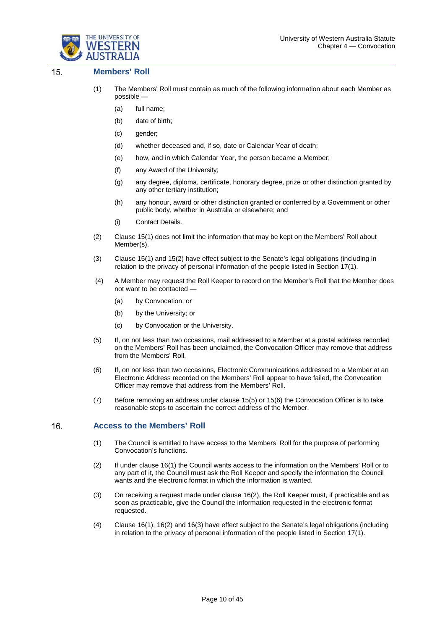



#### $\overline{15}$ **Members' Roll**

- (1) The Members' Roll must contain as much of the following information about each Member as possible —
	- (a) full name;
	- (b) date of birth;
	- (c) gender;
	- (d) whether deceased and, if so, date or Calendar Year of death;
	- (e) how, and in which Calendar Year, the person became a Member;
	- (f) any Award of the University;
	- (g) any degree, diploma, certificate, honorary degree, prize or other distinction granted by any other tertiary institution;
	- (h) any honour, award or other distinction granted or conferred by a Government or other public body, whether in Australia or elsewhere; and
	- (i) Contact Details.
- (2) Clause 15(1) does not limit the information that may be kept on the Members' Roll about Member(s).
- (3) Clause 15(1) and 15(2) have effect subject to the Senate's legal obligations (including in relation to the privacy of personal information of the people listed in Section 17(1).
- (4) A Member may request the Roll Keeper to record on the Member's Roll that the Member does not want to be contacted —
	- (a) by Convocation; or
	- (b) by the University; or
	- (c) by Convocation or the University.
- (5) If, on not less than two occasions, mail addressed to a Member at a postal address recorded on the Members' Roll has been unclaimed, the Convocation Officer may remove that address from the Members' Roll.
- (6) If, on not less than two occasions, Electronic Communications addressed to a Member at an Electronic Address recorded on the Members' Roll appear to have failed, the Convocation Officer may remove that address from the Members' Roll.
- (7) Before removing an address under clause 15(5) or 15(6) the Convocation Officer is to take reasonable steps to ascertain the correct address of the Member.

#### 16. **Access to the Members' Roll**

- (1) The Council is entitled to have access to the Members' Roll for the purpose of performing Convocation's functions.
- (2) If under clause 16(1) the Council wants access to the information on the Members' Roll or to any part of it, the Council must ask the Roll Keeper and specify the information the Council wants and the electronic format in which the information is wanted.
- (3) On receiving a request made under clause 16(2), the Roll Keeper must, if practicable and as soon as practicable, give the Council the information requested in the electronic format requested.
- (4) Clause 16(1), 16(2) and 16(3) have effect subject to the Senate's legal obligations (including in relation to the privacy of personal information of the people listed in Section 17(1).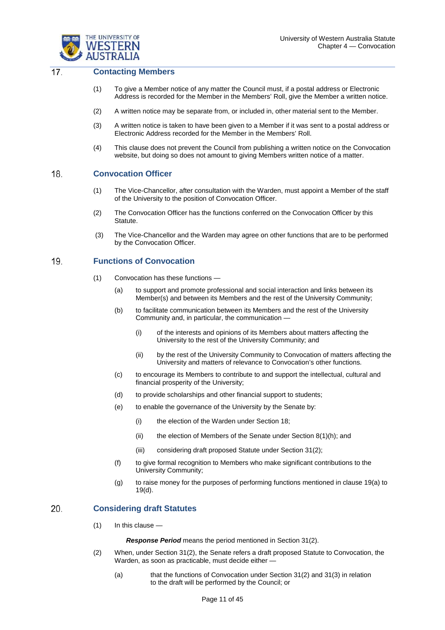

#### $\overline{17}$ . **Contacting Members**

- (1) To give a Member notice of any matter the Council must, if a postal address or Electronic Address is recorded for the Member in the Members' Roll, give the Member a written notice.
- (2) A written notice may be separate from, or included in, other material sent to the Member.
- (3) A written notice is taken to have been given to a Member if it was sent to a postal address or Electronic Address recorded for the Member in the Members' Roll.
- (4) This clause does not prevent the Council from publishing a written notice on the Convocation website, but doing so does not amount to giving Members written notice of a matter.

#### 18. **Convocation Officer**

- (1) The Vice-Chancellor, after consultation with the Warden, must appoint a Member of the staff of the University to the position of Convocation Officer.
- (2) The Convocation Officer has the functions conferred on the Convocation Officer by this Statute.
- (3) The Vice-Chancellor and the Warden may agree on other functions that are to be performed by the Convocation Officer.

#### **Functions of Convocation** 19.

- (1) Convocation has these functions
	- (a) to support and promote professional and social interaction and links between its Member(s) and between its Members and the rest of the University Community;
	- (b) to facilitate communication between its Members and the rest of the University Community and, in particular, the communication -
		- (i) of the interests and opinions of its Members about matters affecting the University to the rest of the University Community; and
		- (ii) by the rest of the University Community to Convocation of matters affecting the University and matters of relevance to Convocation's other functions.
	- (c) to encourage its Members to contribute to and support the intellectual, cultural and financial prosperity of the University;
	- (d) to provide scholarships and other financial support to students;
	- (e) to enable the governance of the University by the Senate by:
		- (i) the election of the Warden under Section 18;
		- (ii) the election of Members of the Senate under Section  $8(1)(h)$ ; and
		- (iii) considering draft proposed Statute under Section 31(2);
	- (f) to give formal recognition to Members who make significant contributions to the University Community;
	- (g) to raise money for the purposes of performing functions mentioned in clause 19(a) to 19(d).

#### 20. **Considering draft Statutes**

 $(1)$  In this clause —

*Response Period* means the period mentioned in Section 31(2).

- (2) When, under Section 31(2), the Senate refers a draft proposed Statute to Convocation, the Warden, as soon as practicable, must decide either -
	- (a) that the functions of Convocation under Section 31(2) and 31(3) in relation to the draft will be performed by the Council; or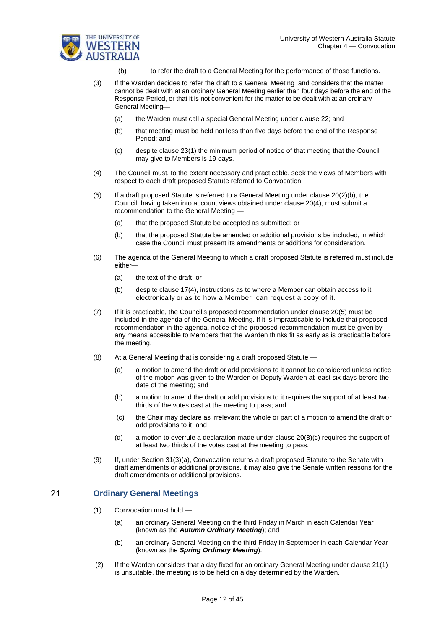

(b) to refer the draft to a General Meeting for the performance of those functions.

- (3) If the Warden decides to refer the draft to a General Meeting and considers that the matter cannot be dealt with at an ordinary General Meeting earlier than four days before the end of the Response Period, or that it is not convenient for the matter to be dealt with at an ordinary General Meeting—
	- (a) the Warden must call a special General Meeting under clause 22; and
	- (b) that meeting must be held not less than five days before the end of the Response Period; and
	- (c) despite clause 23(1) the minimum period of notice of that meeting that the Council may give to Members is 19 days.
- (4) The Council must, to the extent necessary and practicable, seek the views of Members with respect to each draft proposed Statute referred to Convocation.
- (5) If a draft proposed Statute is referred to a General Meeting under clause 20(2)(b), the Council, having taken into account views obtained under clause 20(4), must submit a recommendation to the General Meeting —
	- (a) that the proposed Statute be accepted as submitted; or
	- (b) that the proposed Statute be amended or additional provisions be included, in which case the Council must present its amendments or additions for consideration.
- (6) The agenda of the General Meeting to which a draft proposed Statute is referred must include either—
	- (a) the text of the draft; or
	- (b) despite clause 17(4), instructions as to where a Member can obtain access to it electronically or as to how a Member can request a copy of it.
- (7) If it is practicable, the Council's proposed recommendation under clause 20(5) must be included in the agenda of the General Meeting. If it is impracticable to include that proposed recommendation in the agenda, notice of the proposed recommendation must be given by any means accessible to Members that the Warden thinks fit as early as is practicable before the meeting.
- (8) At a General Meeting that is considering a draft proposed Statute
	- (a) a motion to amend the draft or add provisions to it cannot be considered unless notice of the motion was given to the Warden or Deputy Warden at least six days before the date of the meeting; and
	- (b) a motion to amend the draft or add provisions to it requires the support of at least two thirds of the votes cast at the meeting to pass; and
	- (c) the Chair may declare as irrelevant the whole or part of a motion to amend the draft or add provisions to it; and
	- (d) a motion to overrule a declaration made under clause  $20(8)(c)$  requires the support of at least two thirds of the votes cast at the meeting to pass.
- (9) If, under Section 31(3)(a), Convocation returns a draft proposed Statute to the Senate with draft amendments or additional provisions, it may also give the Senate written reasons for the draft amendments or additional provisions.

#### $21.$ **Ordinary General Meetings**

- (1) Convocation must hold
	- (a) an ordinary General Meeting on the third Friday in March in each Calendar Year (known as the *Autumn Ordinary Meeting*); and
	- (b) an ordinary General Meeting on the third Friday in September in each Calendar Year (known as the *Spring Ordinary Meeting*).
- (2) If the Warden considers that a day fixed for an ordinary General Meeting under clause 21(1) is unsuitable, the meeting is to be held on a day determined by the Warden.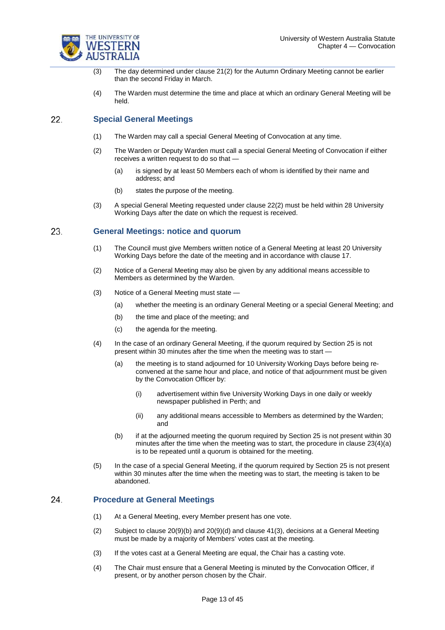

- (3) The day determined under clause 21(2) for the Autumn Ordinary Meeting cannot be earlier than the second Friday in March.
- (4) The Warden must determine the time and place at which an ordinary General Meeting will be held.

#### 22. **Special General Meetings**

- (1) The Warden may call a special General Meeting of Convocation at any time.
- (2) The Warden or Deputy Warden must call a special General Meeting of Convocation if either receives a written request to do so that —
	- (a) is signed by at least 50 Members each of whom is identified by their name and address; and
	- (b) states the purpose of the meeting.
- (3) A special General Meeting requested under clause 22(2) must be held within 28 University Working Days after the date on which the request is received.

#### 23. **General Meetings: notice and quorum**

- (1) The Council must give Members written notice of a General Meeting at least 20 University Working Days before the date of the meeting and in accordance with clause 17.
- (2) Notice of a General Meeting may also be given by any additional means accessible to Members as determined by the Warden.
- (3) Notice of a General Meeting must state
	- (a) whether the meeting is an ordinary General Meeting or a special General Meeting; and
	- (b) the time and place of the meeting; and
	- (c) the agenda for the meeting.
- (4) In the case of an ordinary General Meeting, if the quorum required by Section 25 is not present within 30 minutes after the time when the meeting was to start -
	- (a) the meeting is to stand adjourned for 10 University Working Days before being reconvened at the same hour and place, and notice of that adjournment must be given by the Convocation Officer by:
		- (i) advertisement within five University Working Days in one daily or weekly newspaper published in Perth; and
		- (ii) any additional means accessible to Members as determined by the Warden; and
	- (b) if at the adjourned meeting the quorum required by Section 25 is not present within 30 minutes after the time when the meeting was to start, the procedure in clause 23(4)(a) is to be repeated until a quorum is obtained for the meeting.
- (5) In the case of a special General Meeting, if the quorum required by Section 25 is not present within 30 minutes after the time when the meeting was to start, the meeting is taken to be abandoned.

#### 24. **Procedure at General Meetings**

- (1) At a General Meeting, every Member present has one vote.
- (2) Subject to clause 20(9)(b) and 20(9)(d) and clause 41(3), decisions at a General Meeting must be made by a majority of Members' votes cast at the meeting.
- (3) If the votes cast at a General Meeting are equal, the Chair has a casting vote.
- (4) The Chair must ensure that a General Meeting is minuted by the Convocation Officer, if present, or by another person chosen by the Chair.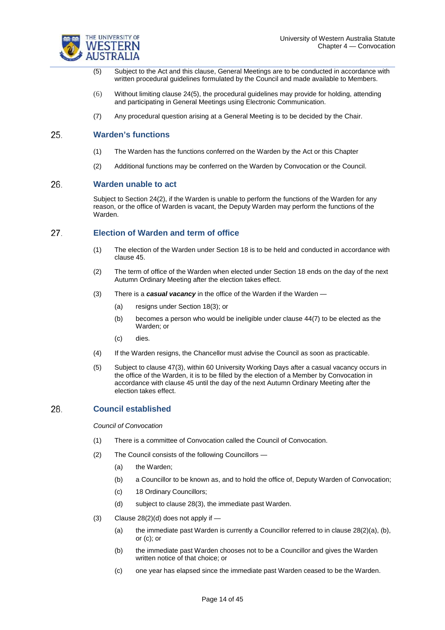

- (5) Subject to the Act and this clause, General Meetings are to be conducted in accordance with written procedural guidelines formulated by the Council and made available to Members.
- (6) Without limiting clause 24(5), the procedural guidelines may provide for holding, attending and participating in General Meetings using Electronic Communication.
- (7) Any procedural question arising at a General Meeting is to be decided by the Chair.

#### 25. **Warden's functions**

- (1) The Warden has the functions conferred on the Warden by the Act or this Chapter
- (2) Additional functions may be conferred on the Warden by Convocation or the Council.

#### 26. **Warden unable to act**

Subject to Section 24(2), if the Warden is unable to perform the functions of the Warden for any reason, or the office of Warden is vacant, the Deputy Warden may perform the functions of the Warden.

#### 27. **Election of Warden and term of office**

- (1) The election of the Warden under Section 18 is to be held and conducted in accordance with clause 45.
- (2) The term of office of the Warden when elected under Section 18 ends on the day of the next Autumn Ordinary Meeting after the election takes effect.
- (3) There is a *casual vacancy* in the office of the Warden if the Warden
	- (a) resigns under Section 18(3); or
	- (b) becomes a person who would be ineligible under clause 44(7) to be elected as the Warden; or
	- (c) dies.
- (4) If the Warden resigns, the Chancellor must advise the Council as soon as practicable.
- (5) Subject to clause 47(3), within 60 University Working Days after a casual vacancy occurs in the office of the Warden, it is to be filled by the election of a Member by Convocation in accordance with clause 45 until the day of the next Autumn Ordinary Meeting after the election takes effect.

#### 28. **Council established**

*Council of Convocation*

- (1) There is a committee of Convocation called the Council of Convocation.
- (2) The Council consists of the following Councillors
	- (a) the Warden;
	- (b) a Councillor to be known as, and to hold the office of, Deputy Warden of Convocation;
	- (c) 18 Ordinary Councillors;
	- (d) subject to clause 28(3), the immediate past Warden.
- (3) Clause  $28(2)(d)$  does not apply if  $-$ 
	- (a) the immediate past Warden is currently a Councillor referred to in clause  $28(2)(a)$ , (b), or (c); or
	- (b) the immediate past Warden chooses not to be a Councillor and gives the Warden written notice of that choice; or
	- (c) one year has elapsed since the immediate past Warden ceased to be the Warden.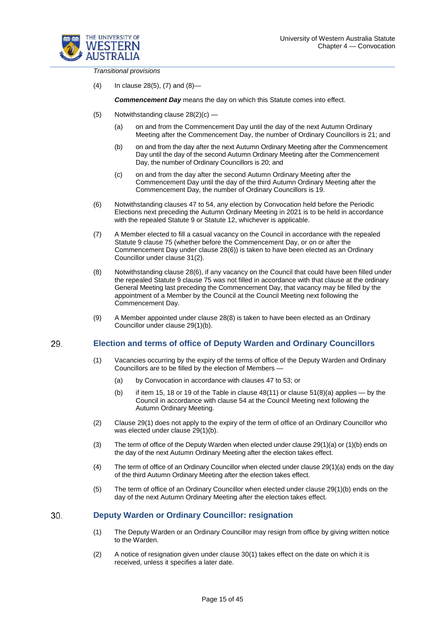

*Transitional provisions*

(4) In clause 28(5), (7) and (8)—

*Commencement Day* means the day on which this Statute comes into effect.

- (5) Notwithstanding clause 28(2)(c)
	- (a) on and from the Commencement Day until the day of the next Autumn Ordinary Meeting after the Commencement Day, the number of Ordinary Councillors is 21; and
	- (b) on and from the day after the next Autumn Ordinary Meeting after the Commencement Day until the day of the second Autumn Ordinary Meeting after the Commencement Day, the number of Ordinary Councillors is 20; and
	- (c) on and from the day after the second Autumn Ordinary Meeting after the Commencement Day until the day of the third Autumn Ordinary Meeting after the Commencement Day, the number of Ordinary Councillors is 19.
- (6) Notwithstanding clauses 47 to 54, any election by Convocation held before the Periodic Elections next preceding the Autumn Ordinary Meeting in 2021 is to be held in accordance with the repealed Statute 9 or Statute 12, whichever is applicable.
- (7) A Member elected to fill a casual vacancy on the Council in accordance with the repealed Statute 9 clause 75 (whether before the Commencement Day, or on or after the Commencement Day under clause 28(6)) is taken to have been elected as an Ordinary Councillor under clause 31(2).
- (8) Notwithstanding clause 28(6), if any vacancy on the Council that could have been filled under the repealed Statute 9 clause 75 was not filled in accordance with that clause at the ordinary General Meeting last preceding the Commencement Day, that vacancy may be filled by the appointment of a Member by the Council at the Council Meeting next following the Commencement Day.
- (9) A Member appointed under clause 28(8) is taken to have been elected as an Ordinary Councillor under clause 29(1)(b).

#### 29. **Election and terms of office of Deputy Warden and Ordinary Councillors**

- (1) Vacancies occurring by the expiry of the terms of office of the Deputy Warden and Ordinary Councillors are to be filled by the election of Members —
	- (a) by Convocation in accordance with clauses 47 to 53; or
	- (b) if item 15, 18 or 19 of the Table in clause  $48(11)$  or clause  $51(8)(a)$  applies by the Council in accordance with clause 54 at the Council Meeting next following the Autumn Ordinary Meeting.
- (2) Clause 29(1) does not apply to the expiry of the term of office of an Ordinary Councillor who was elected under clause 29(1)(b).
- (3) The term of office of the Deputy Warden when elected under clause 29(1)(a) or (1)(b) ends on the day of the next Autumn Ordinary Meeting after the election takes effect.
- (4) The term of office of an Ordinary Councillor when elected under clause 29(1)(a) ends on the day of the third Autumn Ordinary Meeting after the election takes effect.
- (5) The term of office of an Ordinary Councillor when elected under clause 29(1)(b) ends on the day of the next Autumn Ordinary Meeting after the election takes effect.

#### 30. **Deputy Warden or Ordinary Councillor: resignation**

- (1) The Deputy Warden or an Ordinary Councillor may resign from office by giving written notice to the Warden.
- (2) A notice of resignation given under clause 30(1) takes effect on the date on which it is received, unless it specifies a later date.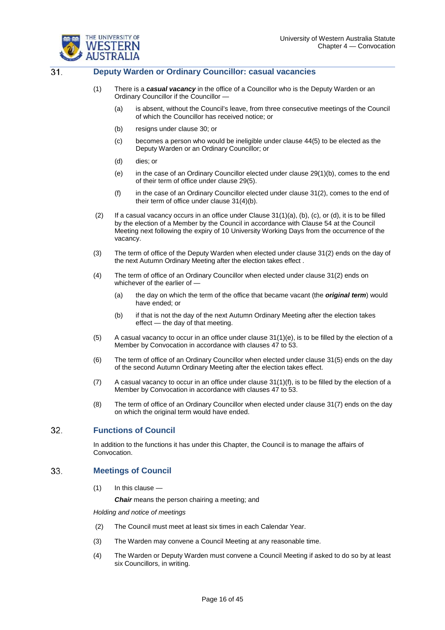

 $\overline{31}$ 

### **Deputy Warden or Ordinary Councillor: casual vacancies**

- (1) There is a *casual vacancy* in the office of a Councillor who is the Deputy Warden or an Ordinary Councillor if the Councillor —
	- (a) is absent, without the Council's leave, from three consecutive meetings of the Council of which the Councillor has received notice; or
	- (b) resigns under clause 30; or
	- (c) becomes a person who would be ineligible under clause 44(5) to be elected as the Deputy Warden or an Ordinary Councillor; or
	- (d) dies; or
	- (e) in the case of an Ordinary Councillor elected under clause 29(1)(b), comes to the end of their term of office under clause 29(5).
	- (f) in the case of an Ordinary Councillor elected under clause 31(2), comes to the end of their term of office under clause 31(4)(b).
- (2) If a casual vacancy occurs in an office under Clause 31(1)(a), (b), (c), or (d), it is to be filled by the election of a Member by the Council in accordance with Clause 54 at the Council Meeting next following the expiry of 10 University Working Days from the occurrence of the vacancy.
- (3) The term of office of the Deputy Warden when elected under clause 31(2) ends on the day of the next Autumn Ordinary Meeting after the election takes effect .
- (4) The term of office of an Ordinary Councillor when elected under clause 31(2) ends on whichever of the earlier of —
	- (a) the day on which the term of the office that became vacant (the *original term*) would have ended; or
	- (b) if that is not the day of the next Autumn Ordinary Meeting after the election takes effect — the day of that meeting.
- $(5)$  A casual vacancy to occur in an office under clause  $31(1)(e)$ , is to be filled by the election of a Member by Convocation in accordance with clauses 47 to 53.
- (6) The term of office of an Ordinary Councillor when elected under clause 31(5) ends on the day of the second Autumn Ordinary Meeting after the election takes effect.
- (7) A casual vacancy to occur in an office under clause 31(1)(f), is to be filled by the election of a Member by Convocation in accordance with clauses 47 to 53.
- (8) The term of office of an Ordinary Councillor when elected under clause 31(7) ends on the day on which the original term would have ended.

#### 32. **Functions of Council**

In addition to the functions it has under this Chapter, the Council is to manage the affairs of Convocation.

#### 33. **Meetings of Council**

(1) In this clause —

*Chair* means the person chairing a meeting; and

*Holding and notice of meetings* 

- (2) The Council must meet at least six times in each Calendar Year.
- (3) The Warden may convene a Council Meeting at any reasonable time.
- (4) The Warden or Deputy Warden must convene a Council Meeting if asked to do so by at least six Councillors, in writing.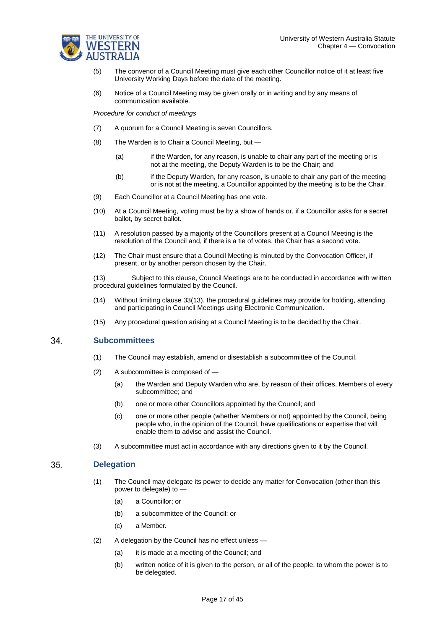

- (5) The convenor of a Council Meeting must give each other Councillor notice of it at least five University Working Days before the date of the meeting.
- (6) Notice of a Council Meeting may be given orally or in writing and by any means of communication available.

*Procedure for conduct of meetings*

- (7) A quorum for a Council Meeting is seven Councillors.
- (8) The Warden is to Chair a Council Meeting, but
	- (a) if the Warden, for any reason, is unable to chair any part of the meeting or is not at the meeting, the Deputy Warden is to be the Chair; and
	- (b) if the Deputy Warden, for any reason, is unable to chair any part of the meeting or is not at the meeting, a Councillor appointed by the meeting is to be the Chair.
- (9) Each Councillor at a Council Meeting has one vote.
- (10) At a Council Meeting, voting must be by a show of hands or, if a Councillor asks for a secret ballot, by secret ballot.
- (11) A resolution passed by a majority of the Councillors present at a Council Meeting is the resolution of the Council and, if there is a tie of votes, the Chair has a second vote.
- (12) The Chair must ensure that a Council Meeting is minuted by the Convocation Officer, if present, or by another person chosen by the Chair.

(13) Subject to this clause, Council Meetings are to be conducted in accordance with written procedural guidelines formulated by the Council.

- (14) Without limiting clause 33(13), the procedural guidelines may provide for holding, attending and participating in Council Meetings using Electronic Communication.
- (15) Any procedural question arising at a Council Meeting is to be decided by the Chair.

#### 34. **Subcommittees**

- (1) The Council may establish, amend or disestablish a subcommittee of the Council.
- (2) A subcommittee is composed of
	- (a) the Warden and Deputy Warden who are, by reason of their offices, Members of every subcommittee; and
	- (b) one or more other Councillors appointed by the Council; and
	- (c) one or more other people (whether Members or not) appointed by the Council, being people who, in the opinion of the Council, have qualifications or expertise that will enable them to advise and assist the Council.
- (3) A subcommittee must act in accordance with any directions given to it by the Council.

#### 35. **Delegation**

- (1) The Council may delegate its power to decide any matter for Convocation (other than this power to delegate) to —
	- (a) a Councillor; or
	- (b) a subcommittee of the Council; or
	- (c) a Member.
- (2) A delegation by the Council has no effect unless
	- (a) it is made at a meeting of the Council; and
	- (b) written notice of it is given to the person, or all of the people, to whom the power is to be delegated.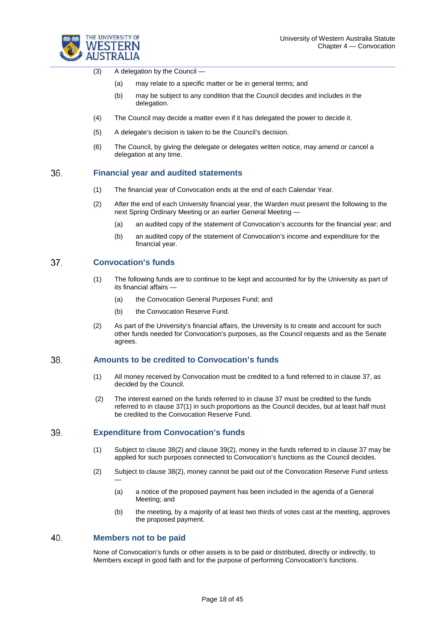

- (3) A delegation by the Council
	- (a) may relate to a specific matter or be in general terms; and
	- (b) may be subject to any condition that the Council decides and includes in the delegation.
- (4) The Council may decide a matter even if it has delegated the power to decide it.
- (5) A delegate's decision is taken to be the Council's decision.
- (6) The Council, by giving the delegate or delegates written notice, may amend or cancel a delegation at any time.

#### 36. **Financial year and audited statements**

- (1) The financial year of Convocation ends at the end of each Calendar Year.
- (2) After the end of each University financial year, the Warden must present the following to the next Spring Ordinary Meeting or an earlier General Meeting -
	- (a) an audited copy of the statement of Convocation's accounts for the financial year; and
	- (b) an audited copy of the statement of Convocation's income and expenditure for the financial year.

#### 37. **Convocation's funds**

- (1) The following funds are to continue to be kept and accounted for by the University as part of its financial affairs —
	- (a) the Convocation General Purposes Fund; and
	- (b) the Convocation Reserve Fund.
- (2) As part of the University's financial affairs, the University is to create and account for such other funds needed for Convocation's purposes, as the Council requests and as the Senate agrees.

#### 38. **Amounts to be credited to Convocation's funds**

- (1) All money received by Convocation must be credited to a fund referred to in clause 37, as decided by the Council.
- (2) The interest earned on the funds referred to in clause 37 must be credited to the funds referred to in clause 37(1) in such proportions as the Council decides, but at least half must be credited to the Convocation Reserve Fund.

#### 39. **Expenditure from Convocation's funds**

- (1) Subject to clause 38(2) and clause 39(2), money in the funds referred to in clause 37 may be applied for such purposes connected to Convocation's functions as the Council decides.
- (2) Subject to clause 38(2), money cannot be paid out of the Convocation Reserve Fund unless —
	- (a) a notice of the proposed payment has been included in the agenda of a General Meeting; and
	- (b) the meeting, by a majority of at least two thirds of votes cast at the meeting, approves the proposed payment.

#### 40. **Members not to be paid**

None of Convocation's funds or other assets is to be paid or distributed, directly or indirectly, to Members except in good faith and for the purpose of performing Convocation's functions.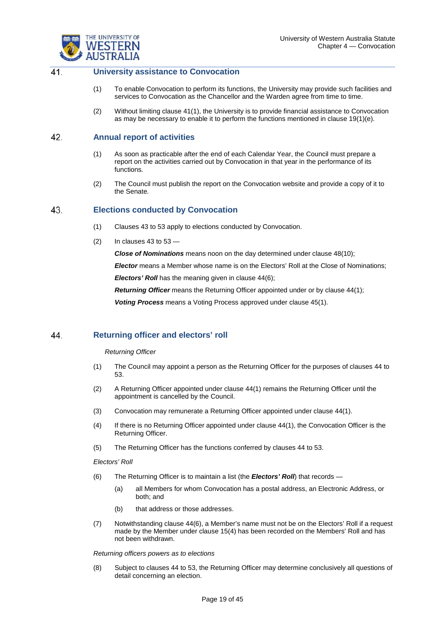

#### $41$ **University assistance to Convocation**

- (1) To enable Convocation to perform its functions, the University may provide such facilities and services to Convocation as the Chancellor and the Warden agree from time to time.
- (2) Without limiting clause 41(1), the University is to provide financial assistance to Convocation as may be necessary to enable it to perform the functions mentioned in clause 19(1)(e).

#### 42 **Annual report of activities**

- (1) As soon as practicable after the end of each Calendar Year, the Council must prepare a report on the activities carried out by Convocation in that year in the performance of its functions*.*
- (2) The Council must publish the report on the Convocation website and provide a copy of it to the Senate*.*

#### 43. **Elections conducted by Convocation**

- (1) Clauses 43 to 53 apply to elections conducted by Convocation.
- $(2)$  In clauses 43 to 53 –

*Close of Nominations* means noon on the day determined under clause 48(10);

*Elector* means a Member whose name is on the Electors' Roll at the Close of Nominations;

*Electors' Roll* has the meaning given in clause 44(6);

**Returning Officer** means the Returning Officer appointed under or by clause 44(1);

*Voting Process* means a Voting Process approved under clause 45(1).

#### 44. **Returning officer and electors' roll**

### *Returning Officer*

- (1) The Council may appoint a person as the Returning Officer for the purposes of clauses 44 to 53.
- (2) A Returning Officer appointed under clause 44(1) remains the Returning Officer until the appointment is cancelled by the Council.
- (3) Convocation may remunerate a Returning Officer appointed under clause 44(1).
- (4) If there is no Returning Officer appointed under clause 44(1), the Convocation Officer is the Returning Officer.
- (5) The Returning Officer has the functions conferred by clauses 44 to 53.

### *Electors' Roll*

- (6) The Returning Officer is to maintain a list (the *Electors' Roll*) that records
	- (a) all Members for whom Convocation has a postal address, an Electronic Address, or both; and
	- (b) that address or those addresses.
- (7) Notwithstanding clause 44(6), a Member's name must not be on the Electors' Roll if a request made by the Member under clause 15(4) has been recorded on the Members' Roll and has not been withdrawn.

*Returning officers powers as to elections*

(8) Subject to clauses 44 to 53, the Returning Officer may determine conclusively all questions of detail concerning an election.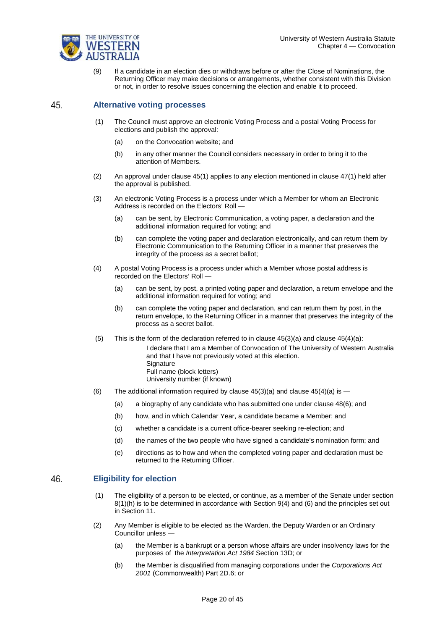

(9) If a candidate in an election dies or withdraws before or after the Close of Nominations, the Returning Officer may make decisions or arrangements, whether consistent with this Division or not, in order to resolve issues concerning the election and enable it to proceed.

#### 45. **Alternative voting processes**

- (1) The Council must approve an electronic Voting Process and a postal Voting Process for elections and publish the approval:
	- (a) on the Convocation website; and
	- (b) in any other manner the Council considers necessary in order to bring it to the attention of Members.
- (2) An approval under clause 45(1) applies to any election mentioned in clause 47(1) held after the approval is published.
- (3) An electronic Voting Process is a process under which a Member for whom an Electronic Address is recorded on the Electors' Roll —
	- (a) can be sent, by Electronic Communication, a voting paper, a declaration and the additional information required for voting; and
	- (b) can complete the voting paper and declaration electronically, and can return them by Electronic Communication to the Returning Officer in a manner that preserves the integrity of the process as a secret ballot;
- (4) A postal Voting Process is a process under which a Member whose postal address is recorded on the Electors' Roll —
	- (a) can be sent, by post, a printed voting paper and declaration, a return envelope and the additional information required for voting; and
	- (b) can complete the voting paper and declaration, and can return them by post, in the return envelope, to the Returning Officer in a manner that preserves the integrity of the process as a secret ballot.
- (5) This is the form of the declaration referred to in clause  $45(3)(a)$  and clause  $45(4)(a)$ :

I declare that I am a Member of Convocation of The University of Western Australia and that I have not previously voted at this election. **Signature** Full name (block letters)

- University number (if known)
- (6) The additional information required by clause  $45(3)(a)$  and clause  $45(4)(a)$  is  $-$ 
	- (a) a biography of any candidate who has submitted one under clause 48(6); and
	- (b) how, and in which Calendar Year, a candidate became a Member; and
	- (c) whether a candidate is a current office-bearer seeking re-election; and
	- (d) the names of the two people who have signed a candidate's nomination form; and
	- (e) directions as to how and when the completed voting paper and declaration must be returned to the Returning Officer.

#### 46. **Eligibility for election**

- (1) The eligibility of a person to be elected, or continue, as a member of the Senate under section 8(1)(h) is to be determined in accordance with Section 9(4) and (6) and the principles set out in Section 11.
- (2) Any Member is eligible to be elected as the Warden, the Deputy Warden or an Ordinary Councillor unless —
	- (a) the Member is a bankrupt or a person whose affairs are under insolvency laws for the purposes of the *Interpretation Act 1984* Section 13D; or
	- (b) the Member is disqualified from managing corporations under the *Corporations Act 2001* (Commonwealth) Part 2D.6; or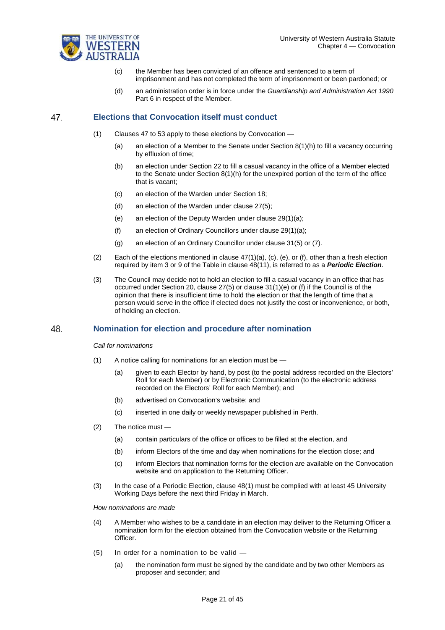

- (c) the Member has been convicted of an offence and sentenced to a term of imprisonment and has not completed the term of imprisonment or been pardoned; or
- (d) an administration order is in force under the *Guardianship and Administration Act 1990*  Part 6 in respect of the Member.

#### 47. **Elections that Convocation itself must conduct**

- (1) Clauses 47 to 53 apply to these elections by Convocation
	- (a) an election of a Member to the Senate under Section  $8(1)(h)$  to fill a vacancy occurring by effluxion of time;
	- (b) an election under Section 22 to fill a casual vacancy in the office of a Member elected to the Senate under Section 8(1)(h) for the unexpired portion of the term of the office that is vacant;
	- (c) an election of the Warden under Section 18;
	- (d) an election of the Warden under clause 27(5);
	- (e) an election of the Deputy Warden under clause 29(1)(a);
	- (f) an election of Ordinary Councillors under clause 29(1)(a);
	- (g) an election of an Ordinary Councillor under clause 31(5) or (7).
- (2) Each of the elections mentioned in clause  $47(1)(a)$ , (c), (e), or (f), other than a fresh election required by item 3 or 9 of the Table in clause 48(11), is referred to as a *Periodic Election*.
- (3) The Council may decide not to hold an election to fill a casual vacancy in an office that has occurred under Section 20, clause 27(5) or clause 31(1)(e) or (f) if the Council is of the opinion that there is insufficient time to hold the election or that the length of time that a person would serve in the office if elected does not justify the cost or inconvenience, or both, of holding an election.

#### 48. **Nomination for election and procedure after nomination**

### *Call for nominations*

- (1) A notice calling for nominations for an election must be
	- (a) given to each Elector by hand, by post (to the postal address recorded on the Electors' Roll for each Member) or by Electronic Communication (to the electronic address recorded on the Electors' Roll for each Member); and
	- (b) advertised on Convocation's website; and
	- (c) inserted in one daily or weekly newspaper published in Perth.
- (2) The notice must
	- (a) contain particulars of the office or offices to be filled at the election, and
	- (b) inform Electors of the time and day when nominations for the election close; and
	- (c) inform Electors that nomination forms for the election are available on the Convocation website and on application to the [Returning Officer.](http://www.uwa.edu.au/people/juanita.perez)
- (3) In the case of a Periodic Election, clause 48(1) must be complied with at least 45 University Working Days before the next third Friday in March.

*How nominations are made*

- (4) A Member who wishes to be a candidate in an election may deliver to the Returning Officer a nomination form for the election obtained from the Convocation website or the [Returning](http://www.uwa.edu.au/people/juanita.perez)  [Officer.](http://www.uwa.edu.au/people/juanita.perez)
- (5) In order for a nomination to be valid
	- (a) the nomination form must be signed by the candidate and by two other Members as proposer and seconder; and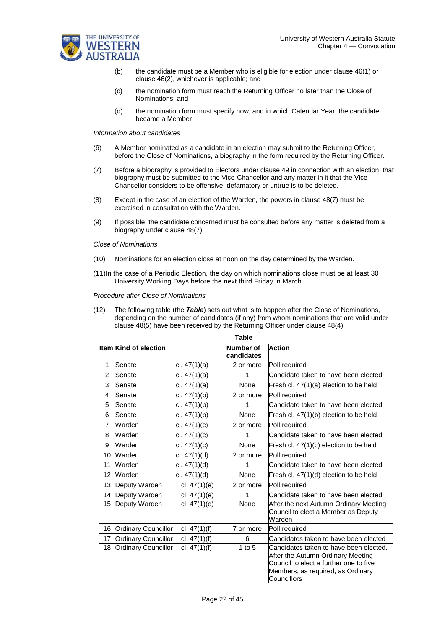

- (b) the candidate must be a Member who is eligible for election under clause 46(1) or clause 46(2), whichever is applicable; and
- (c) the nomination form must reach the Returning Officer no later than the Close of Nominations; and
- (d) the nomination form must specify how, and in which Calendar Year, the candidate became a Member.

### *Information about candidates*

- (6) A Member nominated as a candidate in an election may submit to the Returning Officer, before the Close of Nominations, a biography in the form required by the Returning Officer.
- (7) Before a biography is provided to Electors under clause 49 in connection with an election, that biography must be submitted to the Vice-Chancellor and any matter in it that the Vice-Chancellor considers to be offensive, defamatory or untrue is to be deleted.
- (8) Except in the case of an election of the Warden, the powers in clause 48(7) must be exercised in consultation with the Warden.
- (9) If possible, the candidate concerned must be consulted before any matter is deleted from a biography under clause 48(7).

### *Close of Nominations*

- (10) Nominations for an election close at noon on the day determined by the Warden.
- (11)In the case of a Periodic Election, the day on which nominations close must be at least 30 University Working Days before the next third Friday in March.

### *Procedure after Close of Nominations*

(12) The following table (the *Table*) sets out what is to happen after the Close of Nominations, depending on the number of candidates (if any) from whom nominations that are valid under clause 48(5) have been received by the Returning Officer under clause 48(4).

|                | Table                        |                |                         |                                                                                                                                                                           |  |  |
|----------------|------------------------------|----------------|-------------------------|---------------------------------------------------------------------------------------------------------------------------------------------------------------------------|--|--|
|                | <b>Item Kind of election</b> |                | Number of<br>candidates | <b>Action</b>                                                                                                                                                             |  |  |
| 1              | Senate                       | cl. $47(1)(a)$ | 2 or more               | Poll required                                                                                                                                                             |  |  |
| $\overline{c}$ | Senate                       | cl. $47(1)(a)$ | 1                       | Candidate taken to have been elected                                                                                                                                      |  |  |
| 3              | Senate                       | cl. $47(1)(a)$ | None                    | Fresh cl. 47(1)(a) election to be held                                                                                                                                    |  |  |
| 4              | Senate                       | cl. $47(1)(b)$ | 2 or more               | Poll required                                                                                                                                                             |  |  |
| 5              | Senate                       | cl. $47(1)(b)$ | 1                       | Candidate taken to have been elected                                                                                                                                      |  |  |
| 6              | Senate                       | cl. $47(1)(b)$ | None                    | Fresh cl. 47(1)(b) election to be held                                                                                                                                    |  |  |
| $\overline{7}$ | Warden                       | cl. $47(1)(c)$ | 2 or more               | Poll required                                                                                                                                                             |  |  |
| 8              | Warden                       | cl. $47(1)(c)$ | 1                       | Candidate taken to have been elected                                                                                                                                      |  |  |
| 9              | Warden                       | cl. $47(1)(c)$ | <b>None</b>             | Fresh cl. 47(1)(c) election to be held                                                                                                                                    |  |  |
| 10             | Warden                       | cl. $47(1)(d)$ | 2 or more               | Poll required                                                                                                                                                             |  |  |
| 11             | Warden                       | cl. $47(1)(d)$ | 1                       | Candidate taken to have been elected                                                                                                                                      |  |  |
| 12             | Warden                       | cl. $47(1)(d)$ | None                    | Fresh cl. 47(1)(d) election to be held                                                                                                                                    |  |  |
| 13             | Deputy Warden                | cl. $47(1)(e)$ | 2 or more               | Poll required                                                                                                                                                             |  |  |
| 14             | Deputy Warden                | cl. $47(1)(e)$ | 1                       | Candidate taken to have been elected                                                                                                                                      |  |  |
| 15             | Deputy Warden                | cl. $47(1)(e)$ | None                    | After the next Autumn Ordinary Meeting<br>Council to elect a Member as Deputy<br>Warden                                                                                   |  |  |
| 16             | <b>Ordinary Councillor</b>   | cl. $47(1)(f)$ | 7 or more               | Poll required                                                                                                                                                             |  |  |
| 17             | <b>Ordinary Councillor</b>   | cl. $47(1)(f)$ | 6                       | Candidates taken to have been elected                                                                                                                                     |  |  |
| 18             | <b>Ordinary Councillor</b>   | cl. $47(1)(f)$ | 1 to $5$                | Candidates taken to have been elected.<br>After the Autumn Ordinary Meeting<br>Council to elect a further one to five<br>Members, as required, as Ordinary<br>Councillors |  |  |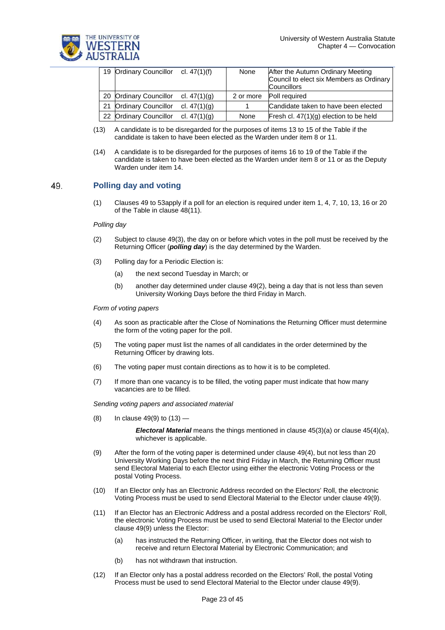

| 19 Ordinary Councillor cl. 47(1)(f) |                | None      | After the Autumn Ordinary Meeting<br>Council to elect six Members as Ordinary<br><b>Councillors</b> |
|-------------------------------------|----------------|-----------|-----------------------------------------------------------------------------------------------------|
| 20 Ordinary Councillor              | cl. 47(1)(g)   | 2 or more | Poll required                                                                                       |
| 21 Ordinary Councillor              | cl. $47(1)(q)$ |           | Candidate taken to have been elected                                                                |
| 22 Ordinary Councillor              | cl. $47(1)(g)$ | None      | Fresh cl. $47(1)(g)$ election to be held                                                            |

- (13) A candidate is to be disregarded for the purposes of items 13 to 15 of the Table if the candidate is taken to have been elected as the Warden under item 8 or 11.
- (14) A candidate is to be disregarded for the purposes of items 16 to 19 of the Table if the candidate is taken to have been elected as the Warden under item 8 or 11 or as the Deputy Warden under item 14.

#### 49. **Polling day and voting**

(1) Clauses 49 to 53apply if a poll for an election is required under item 1, 4, 7, 10, 13, 16 or 20 of the Table in clause 48(11).

### *Polling day*

- (2) Subject to clause 49(3), the day on or before which votes in the poll must be received by the Returning Officer (*polling day*) is the day determined by the Warden.
- (3) Polling day for a Periodic Election is:
	- (a) the next second Tuesday in March; or
	- (b) another day determined under clause 49(2), being a day that is not less than seven University Working Days before the third Friday in March.

### *Form of voting papers*

- (4) As soon as practicable after the Close of Nominations the Returning Officer must determine the form of the voting paper for the poll.
- (5) The voting paper must list the names of all candidates in the order determined by the Returning Officer by drawing lots.
- (6) The voting paper must contain directions as to how it is to be completed.
- (7) If more than one vacancy is to be filled, the voting paper must indicate that how many vacancies are to be filled.

*Sending voting papers and associated material*

(8) In clause  $49(9)$  to  $(13)$  —

*Electoral Material* means the things mentioned in clause 45(3)(a) or clause 45(4)(a), whichever is applicable.

- (9) After the form of the voting paper is determined under clause 49(4), but not less than 20 University Working Days before the next third Friday in March, the Returning Officer must send Electoral Material to each Elector using either the electronic Voting Process or the postal Voting Process.
- (10) If an Elector only has an Electronic Address recorded on the Electors' Roll, the electronic Voting Process must be used to send Electoral Material to the Elector under clause 49(9).
- (11) If an Elector has an Electronic Address and a postal address recorded on the Electors' Roll, the electronic Voting Process must be used to send Electoral Material to the Elector under clause 49(9) unless the Elector:
	- (a) has instructed the Returning Officer, in writing, that the Elector does not wish to receive and return Electoral Material by Electronic Communication; and
	- (b) has not withdrawn that instruction.
- (12) If an Elector only has a postal address recorded on the Electors' Roll, the postal Voting Process must be used to send Electoral Material to the Elector under clause 49(9).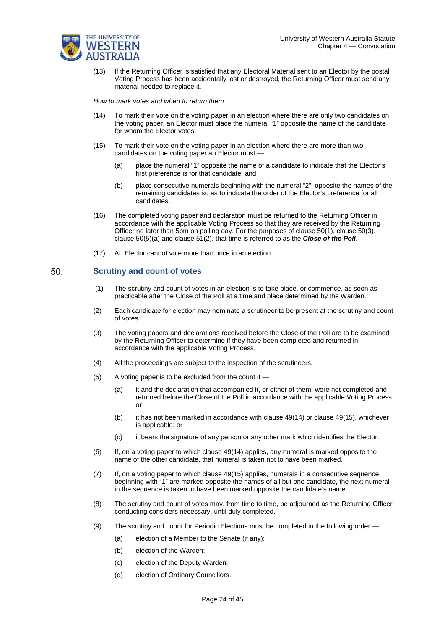

(13) If the Returning Officer is satisfied that any Electoral Material sent to an Elector by the postal Voting Process has been accidentally lost or destroyed, the Returning Officer must send any material needed to replace it.

*How to mark votes and when to return them*

- (14) To mark their vote on the voting paper in an election where there are only two candidates on the voting paper, an Elector must place the numeral "1" opposite the name of the candidate for whom the Elector votes.
- (15) To mark their vote on the voting paper in an election where there are more than two candidates on the voting paper an Elector must —
	- (a) place the numeral "1" opposite the name of a candidate to indicate that the Elector's first preference is for that candidate; and
	- (b) place consecutive numerals beginning with the numeral "2", opposite the names of the remaining candidates so as to indicate the order of the Elector's preference for all candidates.
- (16) The completed voting paper and declaration must be returned to the Returning Officer in accordance with the applicable Voting Process so that they are received by the Returning Officer no later than 5pm on polling day. For the purposes of clause 50(1), clause 50(3), clause 50(5)(a) and clause 51(2), that time is referred to as the *Close of the Poll*.
- (17) An Elector cannot vote more than once in an election.

#### 50. **Scrutiny and count of votes**

- (1) The scrutiny and count of votes in an election is to take place, or commence, as soon as practicable after the Close of the Poll at a time and place determined by the Warden.
- (2) Each candidate for election may nominate a scrutineer to be present at the scrutiny and count of votes.
- (3) The voting papers and declarations received before the Close of the Poll are to be examined by the Returning Officer to determine if they have been completed and returned in accordance with the applicable Voting Process.
- (4) All the proceedings are subject to the inspection of the scrutineers.
- (5) A voting paper is to be excluded from the count if
	- (a) it and the declaration that accompanied it, or either of them, were not completed and returned before the Close of the Poll in accordance with the applicable Voting Process; or
	- (b) it has not been marked in accordance with clause 49(14) or clause 49(15), whichever is applicable; or
	- (c) it bears the signature of any person or any other mark which identifies the Elector.
- (6) If, on a voting paper to which clause 49(14) applies, any numeral is marked opposite the name of the other candidate, that numeral is taken not to have been marked.
- (7) If, on a voting paper to which clause 49(15) applies, numerals in a consecutive sequence beginning with "1" are marked opposite the names of all but one candidate, the next numeral in the sequence is taken to have been marked opposite the candidate's name.
- (8) The scrutiny and count of votes may, from time to time, be adjourned as the Returning Officer conducting considers necessary, until duly completed.
- (9) The scrutiny and count for Periodic Elections must be completed in the following order
	- (a) election of a Member to the Senate (if any);
	- (b) election of the Warden;
	- (c) election of the Deputy Warden;
	- (d) election of Ordinary Councillors.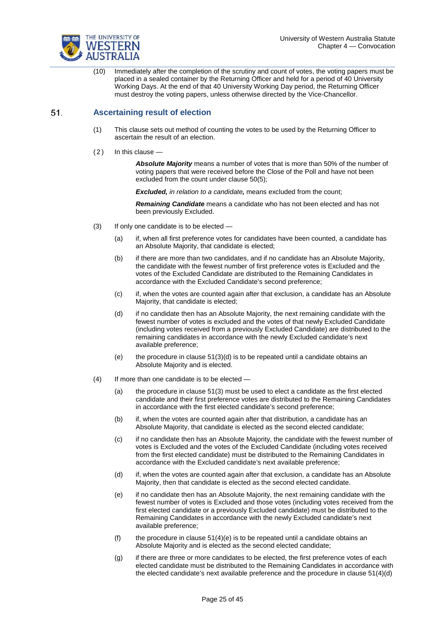

(10) Immediately after the completion of the scrutiny and count of votes, the voting papers must be placed in a sealed container by the Returning Officer and held for a period of 40 University Working Days. At the end of that 40 University Working Day period, the Returning Officer must destroy the voting papers, unless otherwise directed by the Vice-Chancellor.

#### $51.$ **Ascertaining result of election**

- (1) This clause sets out method of counting the votes to be used by the Returning Officer to ascertain the result of an election.
- $(2)$  In this clause -

*Absolute Majority* means a number of votes that is more than 50% of the number of voting papers that were received before the Close of the Poll and have not been excluded from the count under clause 50(5);

*Excluded, in relation to a candidate,* means excluded from the count;

*Remaining Candidate* means a candidate who has not been elected and has not been previously Excluded.

- $(3)$  If only one candidate is to be elected
	- (a) if, when all first preference votes for candidates have been counted, a candidate has an Absolute Majority, that candidate is elected;
	- (b) if there are more than two candidates, and if no candidate has an Absolute Majority, the candidate with the fewest number of first preference votes is Excluded and the votes of the Excluded Candidate are distributed to the Remaining Candidates in accordance with the Excluded Candidate's second preference;
	- (c) if, when the votes are counted again after that exclusion, a candidate has an Absolute Majority, that candidate is elected;
	- (d) if no candidate then has an Absolute Majority, the next remaining candidate with the fewest number of votes is excluded and the votes of that newly Excluded Candidate (including votes received from a previously Excluded Candidate) are distributed to the remaining candidates in accordance with the newly Excluded candidate's next available preference;
	- (e) the procedure in clause  $51(3)(d)$  is to be repeated until a candidate obtains an Absolute Majority and is elected.
- (4) If more than one candidate is to be elected
	- (a) the procedure in clause 51(3) must be used to elect a candidate as the first elected candidate and their first preference votes are distributed to the Remaining Candidates in accordance with the first elected candidate's second preference;
	- (b) if, when the votes are counted again after that distribution, a candidate has an Absolute Majority, that candidate is elected as the second elected candidate;
	- (c) if no candidate then has an Absolute Majority, the candidate with the fewest number of votes is Excluded and the votes of the Excluded Candidate (including votes received from the first elected candidate) must be distributed to the Remaining Candidates in accordance with the Excluded candidate's next available preference;
	- (d) if, when the votes are counted again after that exclusion, a candidate has an Absolute Majority, then that candidate is elected as the second elected candidate.
	- (e) if no candidate then has an Absolute Majority, the next remaining candidate with the fewest number of votes is Excluded and those votes (including votes received from the first elected candidate or a previously Excluded candidate) must be distributed to the Remaining Candidates in accordance with the newly Excluded candidate's next available preference;
	- (f) the procedure in clause  $51(4)(e)$  is to be repeated until a candidate obtains an Absolute Majority and is elected as the second elected candidate;
	- (g) if there are three or more candidates to be elected, the first preference votes of each elected candidate must be distributed to the Remaining Candidates in accordance with the elected candidate's next available preference and the procedure in clause 51(4)(d)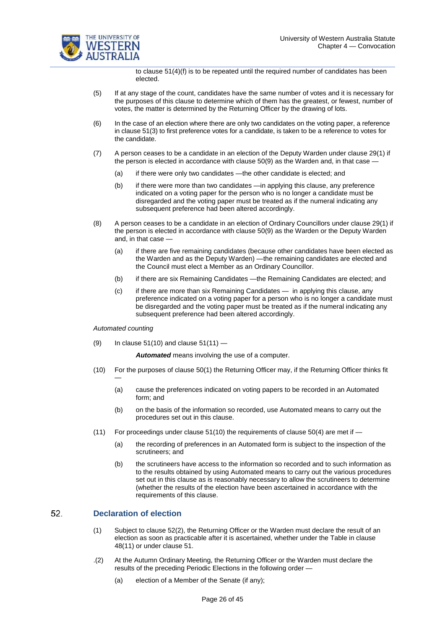

to clause 51(4)(f) is to be repeated until the required number of candidates has been elected.

- (5) If at any stage of the count, candidates have the same number of votes and it is necessary for the purposes of this clause to determine which of them has the greatest, or fewest, number of votes, the matter is determined by the Returning Officer by the drawing of lots.
- (6) In the case of an election where there are only two candidates on the voting paper, a reference in clause 51(3) to first preference votes for a candidate, is taken to be a reference to votes for the candidate.
- (7) A person ceases to be a candidate in an election of the Deputy Warden under clause 29(1) if the person is elected in accordance with clause 50(9) as the Warden and, in that case —
	- (a) if there were only two candidates —the other candidate is elected; and
	- (b) if there were more than two candidates —in applying this clause, any preference indicated on a voting paper for the person who is no longer a candidate must be disregarded and the voting paper must be treated as if the numeral indicating any subsequent preference had been altered accordingly.
- (8) A person ceases to be a candidate in an election of Ordinary Councillors under clause 29(1) if the person is elected in accordance with clause 50(9) as the Warden or the Deputy Warden and, in that case —
	- (a) if there are five remaining candidates (because other candidates have been elected as the Warden and as the Deputy Warden) —the remaining candidates are elected and the Council must elect a Member as an Ordinary Councillor.
	- (b) if there are six Remaining Candidates —the Remaining Candidates are elected; and
	- (c) if there are more than six Remaining Candidates in applying this clause, any preference indicated on a voting paper for a person who is no longer a candidate must be disregarded and the voting paper must be treated as if the numeral indicating any subsequent preference had been altered accordingly.

*Automated counting*

—

(9) In clause  $51(10)$  and clause  $51(11)$  —

*Automated* means involving the use of a computer.

- (10) For the purposes of clause 50(1) the Returning Officer may, if the Returning Officer thinks fit
	- (a) cause the preferences indicated on voting papers to be recorded in an Automated form; and
	- (b) on the basis of the information so recorded, use Automated means to carry out the procedures set out in this clause.
- (11) For proceedings under clause  $51(10)$  the requirements of clause  $50(4)$  are met if  $-$ 
	- (a) the recording of preferences in an Automated form is subject to the inspection of the scrutineers; and
	- (b) the scrutineers have access to the information so recorded and to such information as to the results obtained by using Automated means to carry out the various procedures set out in this clause as is reasonably necessary to allow the scrutineers to determine (whether the results of the election have been ascertained in accordance with the requirements of this clause.

#### 52. **Declaration of election**

- (1) Subject to clause 52(2), the Returning Officer or the Warden must declare the result of an election as soon as practicable after it is ascertained, whether under the Table in clause 48(11) or under clause 51.
- .(2) At the Autumn Ordinary Meeting, the Returning Officer or the Warden must declare the results of the preceding Periodic Elections in the following order —
	- (a) election of a Member of the Senate (if any);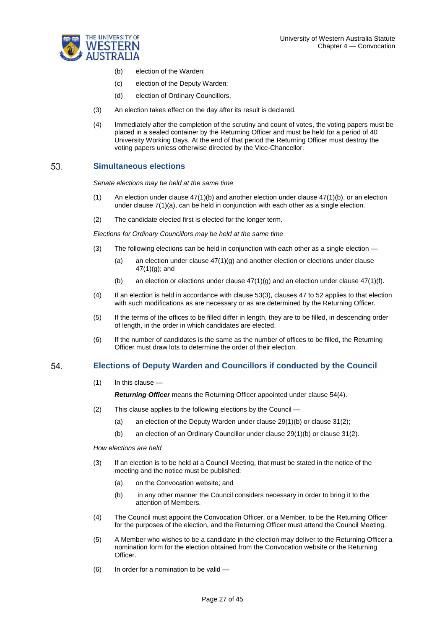

- (b) election of the Warden;
- (c) election of the Deputy Warden;
- (d) election of Ordinary Councillors,
- (3) An election takes effect on the day after its result is declared.
- (4) Immediately after the completion of the scrutiny and count of votes, the voting papers must be placed in a sealed container by the Returning Officer and must be held for a period of 40 University Working Days. At the end of that period the Returning Officer must destroy the voting papers unless otherwise directed by the Vice-Chancellor.

#### 53. **Simultaneous elections**

*Senate elections may be held at the same time*

- (1) An election under clause 47(1)(b) and another election under clause 47(1)(b), or an election under clause 7(1)(a), can be held in conjunction with each other as a single election.
- (2) The candidate elected first is elected for the longer term.

*Elections for Ordinary Councillors may be held at the same time*

- (3) The following elections can be held in conjunction with each other as a single election
	- (a) an election under clause  $47(1)(q)$  and another election or elections under clause 47(1)(g); and
	- (b) an election or elections under clause  $47(1)(g)$  and an election under clause  $47(1)(f)$ .
- (4) If an election is held in accordance with clause 53(3), clauses 47 to 52 applies to that election with such modifications as are necessary or as are determined by the Returning Officer.
- (5) If the terms of the offices to be filled differ in length, they are to be filled, in descending order of length, in the order in which candidates are elected.
- (6) If the number of candidates is the same as the number of offices to be filled, the Returning Officer must draw lots to determine the order of their election.

#### 54 **Elections of Deputy Warden and Councillors if conducted by the Council**

(1) In this clause —

*Returning Officer* means the Returning Officer appointed under clause 54(4).

- (2) This clause applies to the following elections by the Council
	- (a) an election of the Deputy Warden under clause 29(1)(b) or clause 31(2);
	- (b) an election of an Ordinary Councillor under clause 29(1)(b) or clause 31(2).

*How elections are held*

- (3) If an election is to be held at a Council Meeting, that must be stated in the notice of the meeting and the notice must be published:
	- (a) on the Convocation website; and
	- (b) in any other manner the Council considers necessary in order to bring it to the attention of Members.
- (4) The Council must appoint the Convocation Officer, or a Member, to be the Returning Officer for the purposes of the election, and the Returning Officer must attend the Council Meeting.
- (5) A Member who wishes to be a candidate in the election may deliver to the Returning Officer a nomination form for the election obtained from the Convocation website or the Returning Officer.
- (6) In order for a nomination to be valid —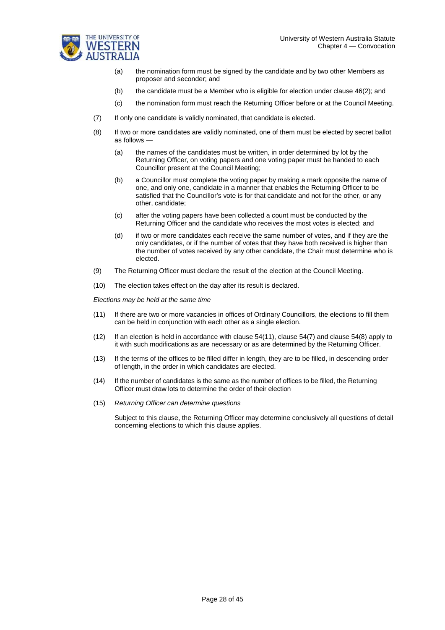



- (a) the nomination form must be signed by the candidate and by two other Members as proposer and seconder; and
- (b) the candidate must be a Member who is eligible for election under clause 46(2); and
- (c) the nomination form must reach the Returning Officer before or at the Council Meeting.
- (7) If only one candidate is validly nominated, that candidate is elected.
- (8) If two or more candidates are validly nominated, one of them must be elected by secret ballot as follows —
	- (a) the names of the candidates must be written, in order determined by lot by the Returning Officer, on voting papers and one voting paper must be handed to each Councillor present at the Council Meeting;
	- (b) a Councillor must complete the voting paper by making a mark opposite the name of one, and only one, candidate in a manner that enables the Returning Officer to be satisfied that the Councillor's vote is for that candidate and not for the other, or any other, candidate;
	- (c) after the voting papers have been collected a count must be conducted by the Returning Officer and the candidate who receives the most votes is elected; and
	- (d) if two or more candidates each receive the same number of votes, and if they are the only candidates, or if the number of votes that they have both received is higher than the number of votes received by any other candidate, the Chair must determine who is elected.
- (9) The Returning Officer must declare the result of the election at the Council Meeting.
- (10) The election takes effect on the day after its result is declared.

*Elections may be held at the same time*

- (11) If there are two or more vacancies in offices of Ordinary Councillors, the elections to fill them can be held in conjunction with each other as a single election.
- (12) If an election is held in accordance with clause 54(11), clause 54(7) and clause 54(8) apply to it with such modifications as are necessary or as are determined by the Returning Officer.
- (13) If the terms of the offices to be filled differ in length, they are to be filled, in descending order of length, in the order in which candidates are elected.
- (14) If the number of candidates is the same as the number of offices to be filled, the Returning Officer must draw lots to determine the order of their election
- (15) *Returning Officer can determine questions*

Subject to this clause, the Returning Officer may determine conclusively all questions of detail concerning elections to which this clause applies.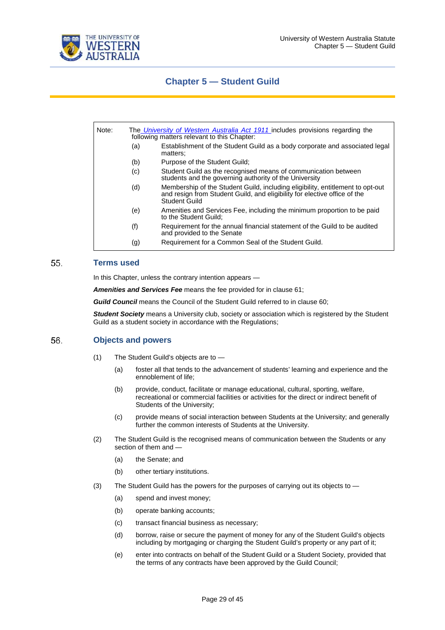

### **Chapter 5 — Student Guild**

| Note: | The University of Western Australia Act 1911 includes provisions regarding the<br>following matters relevant to this Chapter: |                                                                                                                                                                              |  |  |
|-------|-------------------------------------------------------------------------------------------------------------------------------|------------------------------------------------------------------------------------------------------------------------------------------------------------------------------|--|--|
|       | (a)                                                                                                                           | Establishment of the Student Guild as a body corporate and associated legal<br>matters:                                                                                      |  |  |
|       | (b)                                                                                                                           | Purpose of the Student Guild:                                                                                                                                                |  |  |
|       | (c)                                                                                                                           | Student Guild as the recognised means of communication between<br>students and the governing authority of the University                                                     |  |  |
|       | (d)                                                                                                                           | Membership of the Student Guild, including eligibility, entitlement to opt-out<br>and resign from Student Guild, and eligibility for elective office of the<br>Student Guild |  |  |
|       | (e)                                                                                                                           | Amenities and Services Fee, including the minimum proportion to be paid<br>to the Student Guild:                                                                             |  |  |
|       | (f)                                                                                                                           | Requirement for the annual financial statement of the Guild to be audited<br>and provided to the Senate                                                                      |  |  |
|       | (g)                                                                                                                           | Requirement for a Common Seal of the Student Guild.                                                                                                                          |  |  |

#### 55. **Terms used**

In this Chapter, unless the contrary intention appears —

*Amenities and Services Fee* means the fee provided for in clause 61;

**Guild Council** means the Council of the Student Guild referred to in clause 60;

*Student Society* means a University club, society or association which is registered by the Student Guild as a student society in accordance with the Regulations;

#### 56. **Objects and powers**

- (1) The Student Guild's objects are to
	- (a) foster all that tends to the advancement of students' learning and experience and the ennoblement of life;
	- (b) provide, conduct, facilitate or manage educational, cultural, sporting, welfare, recreational or commercial facilities or activities for the direct or indirect benefit of Students of the University;
	- (c) provide means of social interaction between Students at the University; and generally further the common interests of Students at the University.
- (2) The Student Guild is the recognised means of communication between the Students or any section of them and —
	- (a) the Senate; and
	- (b) other tertiary institutions.
- (3) The Student Guild has the powers for the purposes of carrying out its objects to
	- (a) spend and invest money;
	- (b) operate banking accounts;
	- (c) transact financial business as necessary;
	- (d) borrow, raise or secure the payment of money for any of the Student Guild's objects including by mortgaging or charging the Student Guild's property or any part of it;
	- (e) enter into contracts on behalf of the Student Guild or a Student Society, provided that the terms of any contracts have been approved by the Guild Council;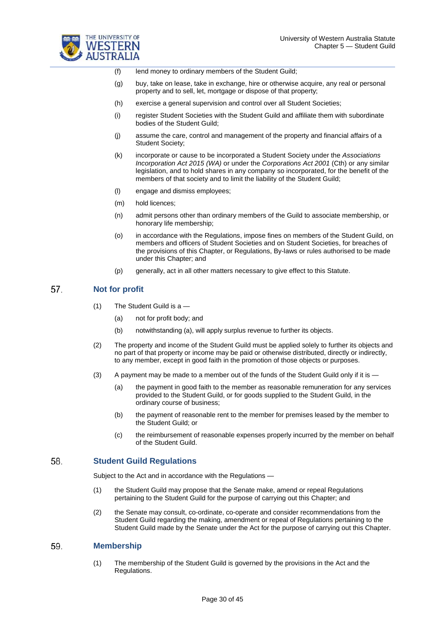

(f) lend money to ordinary members of the Student Guild;

- (g) buy, take on lease, take in exchange, hire or otherwise acquire, any real or personal property and to sell, let, mortgage or dispose of that property;
- (h) exercise a general supervision and control over all Student Societies;
- (i) register Student Societies with the Student Guild and affiliate them with subordinate bodies of the Student Guild;
- (j) assume the care, control and management of the property and financial affairs of a Student Society;
- (k) incorporate or cause to be incorporated a Student Society under the *Associations Incorporation Act 2015 (WA)* or under the *Corporations Act 2001* (Cth) or any similar legislation, and to hold shares in any company so incorporated, for the benefit of the members of that society and to limit the liability of the Student Guild;
- (l) engage and dismiss employees;
- (m) hold licences;
- (n) admit persons other than ordinary members of the Guild to associate membership, or honorary life membership;
- (o) in accordance with the Regulations, impose fines on members of the Student Guild, on members and officers of Student Societies and on Student Societies, for breaches of the provisions of this Chapter, or Regulations, By-laws or rules authorised to be made under this Chapter; and
- (p) generally, act in all other matters necessary to give effect to this Statute.

#### 57. **Not for profit**

- (1) The Student Guild is a
	- (a) not for profit body; and
	- (b) notwithstanding (a), will apply surplus revenue to further its objects.
- (2) The property and income of the Student Guild must be applied solely to further its objects and no part of that property or income may be paid or otherwise distributed, directly or indirectly, to any member, except in good faith in the promotion of those objects or purposes.
- (3) A payment may be made to a member out of the funds of the Student Guild only if it is
	- (a) the payment in good faith to the member as reasonable remuneration for any services provided to the Student Guild, or for goods supplied to the Student Guild, in the ordinary course of business;
	- (b) the payment of reasonable rent to the member for premises leased by the member to the Student Guild; or
	- (c) the reimbursement of reasonable expenses properly incurred by the member on behalf of the Student Guild.

#### 58. **Student Guild Regulations**

Subject to the Act and in accordance with the Regulations —

- (1) the Student Guild may propose that the Senate make, amend or repeal Regulations pertaining to the Student Guild for the purpose of carrying out this Chapter; and
- (2) the Senate may consult, co-ordinate, co-operate and consider recommendations from the Student Guild regarding the making, amendment or repeal of Regulations pertaining to the Student Guild made by the Senate under the Act for the purpose of carrying out this Chapter.

#### 59. **Membership**

(1) The membership of the Student Guild is governed by the provisions in the Act and the Regulations.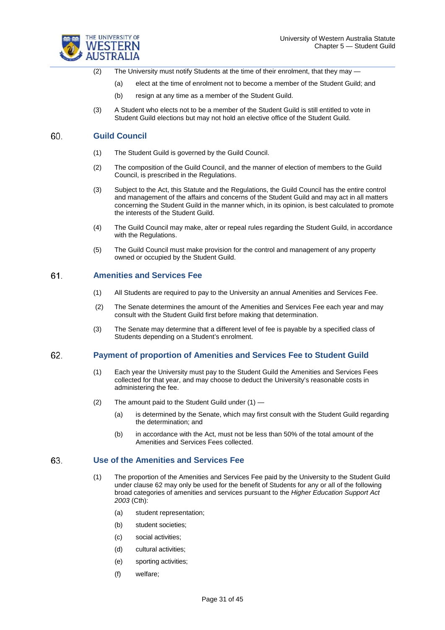

- (2) The University must notify Students at the time of their enrolment, that they may
	- (a) elect at the time of enrolment not to become a member of the Student Guild; and
	- (b) resign at any time as a member of the Student Guild.
- (3) A Student who elects not to be a member of the Student Guild is still entitled to vote in Student Guild elections but may not hold an elective office of the Student Guild.

#### 60. **Guild Council**

- (1) The Student Guild is governed by the Guild Council.
- (2) The composition of the Guild Council, and the manner of election of members to the Guild Council, is prescribed in the Regulations.
- (3) Subject to the Act, this Statute and the Regulations, the Guild Council has the entire control and management of the affairs and concerns of the Student Guild and may act in all matters concerning the Student Guild in the manner which, in its opinion, is best calculated to promote the interests of the Student Guild.
- (4) The Guild Council may make, alter or repeal rules regarding the Student Guild, in accordance with the Regulations.
- (5) The Guild Council must make provision for the control and management of any property owned or occupied by the Student Guild.

#### 61 **Amenities and Services Fee**

- (1) All Students are required to pay to the University an annual Amenities and Services Fee.
- (2) The Senate determines the amount of the Amenities and Services Fee each year and may consult with the Student Guild first before making that determination.
- (3) The Senate may determine that a different level of fee is payable by a specified class of Students depending on a Student's enrolment.

#### 62. **Payment of proportion of Amenities and Services Fee to Student Guild**

- (1) Each year the University must pay to the Student Guild the Amenities and Services Fees collected for that year, and may choose to deduct the University's reasonable costs in administering the fee.
- (2) The amount paid to the Student Guild under  $(1)$  -
	- (a) is determined by the Senate, which may first consult with the Student Guild regarding the determination; and
	- (b) in accordance with the Act, must not be less than 50% of the total amount of the Amenities and Services Fees collected.

#### 63. **Use of the Amenities and Services Fee**

- (1) The proportion of the Amenities and Services Fee paid by the University to the Student Guild under clause 62 may only be used for the benefit of Students for any or all of the following broad categories of amenities and services pursuant to the *Higher Education Support Act 2003* (Cth):
	- (a) student representation;
	- (b) student societies;
	- (c) social activities;
	- (d) cultural activities;
	- (e) sporting activities;
	- (f) welfare;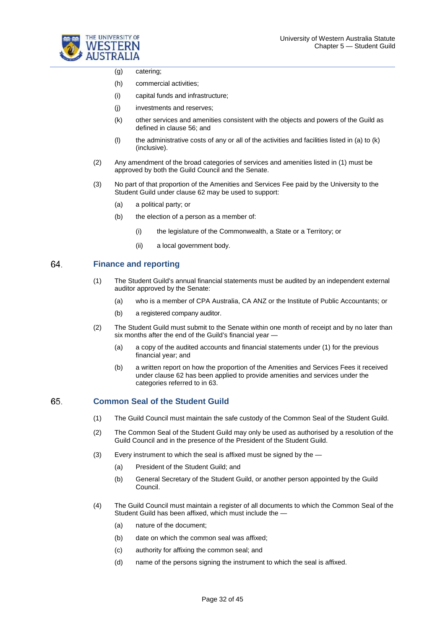

- (g) catering;
- (h) commercial activities;
- (i) capital funds and infrastructure;
- (j) investments and reserves;
- (k) other services and amenities consistent with the objects and powers of the Guild as defined in clause 56; and
- (l) the administrative costs of any or all of the activities and facilities listed in (a) to (k) (inclusive).
- (2) Any amendment of the broad categories of services and amenities listed in (1) must be approved by both the Guild Council and the Senate.
- (3) No part of that proportion of the Amenities and Services Fee paid by the University to the Student Guild under clause 62 may be used to support:
	- (a) a political party; or
	- (b) the election of a person as a member of:
		- (i) the legislature of the Commonwealth, a State or a Territory; or
		- (ii) a local government body.

#### 64. **Finance and reporting**

- (1) The Student Guild's annual financial statements must be audited by an independent external auditor approved by the Senate:
	- (a) who is a member of CPA Australia, CA ANZ or the Institute of Public Accountants; or
	- (b) a registered company auditor.
- (2) The Student Guild must submit to the Senate within one month of receipt and by no later than six months after the end of the Guild's financial year —
	- (a) a copy of the audited accounts and financial statements under (1) for the previous financial year; and
	- (b) a written report on how the proportion of the Amenities and Services Fees it received under clause 62 has been applied to provide amenities and services under the categories referred to in 63.

#### 65. **Common Seal of the Student Guild**

- (1) The Guild Council must maintain the safe custody of the Common Seal of the Student Guild.
- (2) The Common Seal of the Student Guild may only be used as authorised by a resolution of the Guild Council and in the presence of the President of the Student Guild.
- (3) Every instrument to which the seal is affixed must be signed by the
	- (a) President of the Student Guild; and
	- (b) General Secretary of the Student Guild, or another person appointed by the Guild Council.
- (4) The Guild Council must maintain a register of all documents to which the Common Seal of the Student Guild has been affixed, which must include the —
	- (a) nature of the document;
	- (b) date on which the common seal was affixed;
	- (c) authority for affixing the common seal; and
	- (d) name of the persons signing the instrument to which the seal is affixed.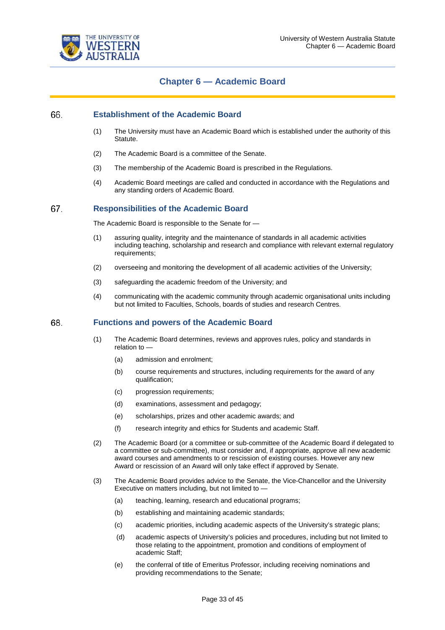

## **Chapter 6 — Academic Board**

#### 66. **Establishment of the Academic Board**

- (1) The University must have an Academic Board which is established under the authority of this Statute.
- (2) The Academic Board is a committee of the Senate.
- (3) The membership of the Academic Board is prescribed in the Regulations.
- (4) Academic Board meetings are called and conducted in accordance with the Regulations and any standing orders of Academic Board.

#### 67. **Responsibilities of the Academic Board**

The Academic Board is responsible to the Senate for —

- (1) assuring quality, integrity and the maintenance of standards in all academic activities including teaching, scholarship and research and compliance with relevant external regulatory requirements;
- (2) overseeing and monitoring the development of all academic activities of the University;
- (3) safeguarding the academic freedom of the University; and
- (4) communicating with the academic community through academic organisational units including but not limited to Faculties, Schools, boards of studies and research Centres.

#### 68. **Functions and powers of the Academic Board**

- (1) The Academic Board determines, reviews and approves rules, policy and standards in relation to —
	- (a) admission and enrolment;
	- (b) course requirements and structures, including requirements for the award of any qualification;
	- (c) progression requirements;
	- (d) examinations, assessment and pedagogy;
	- (e) scholarships, prizes and other academic awards; and
	- (f) research integrity and ethics for Students and academic Staff.
- (2) The Academic Board (or a committee or sub-committee of the Academic Board if delegated to a committee or sub-committee), must consider and, if appropriate, approve all new academic award courses and amendments to or rescission of existing courses. However any new Award or rescission of an Award will only take effect if approved by Senate.
- (3) The Academic Board provides advice to the Senate, the Vice-Chancellor and the University Executive on matters including, but not limited to —
	- (a) teaching, learning, research and educational programs;
	- (b) establishing and maintaining academic standards;
	- (c) academic priorities, including academic aspects of the University's strategic plans;
	- (d) academic aspects of University's policies and procedures, including but not limited to those relating to the appointment, promotion and conditions of employment of academic Staff;
	- (e) the conferral of title of Emeritus Professor, including receiving nominations and providing recommendations to the Senate;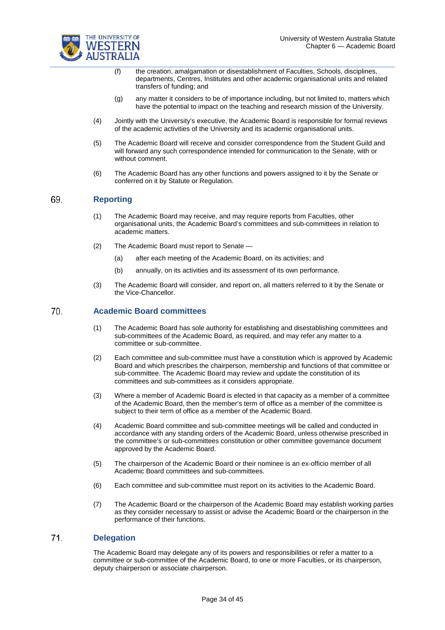

- (f) the creation, amalgamation or disestablishment of Faculties, Schools, disciplines, departments, Centres, Institutes and other academic organisational units and related transfers of funding; and
- (g) any matter it considers to be of importance including, but not limited to, matters which have the potential to impact on the teaching and research mission of the University.
- (4) Jointly with the University's executive, the Academic Board is responsible for formal reviews of the academic activities of the University and its academic organisational units.
- (5) The Academic Board will receive and consider correspondence from the Student Guild and will forward any such correspondence intended for communication to the Senate, with or without comment.
- (6) The Academic Board has any other functions and powers assigned to it by the Senate or conferred on it by Statute or Regulation.

#### 69. **Reporting**

- (1) The Academic Board may receive, and may require reports from Faculties, other organisational units, the Academic Board's committees and sub-committees in relation to academic matters.
- (2) The Academic Board must report to Senate
	- (a) after each meeting of the Academic Board, on its activities; and
	- (b) annually, on its activities and its assessment of its own performance.
- (3) The Academic Board will consider, and report on, all matters referred to it by the Senate or the Vice-Chancellor.

#### 70. **Academic Board committees**

- (1) The Academic Board has sole authority for establishing and disestablishing committees and sub-committees of the Academic Board, as required, and may refer any matter to a committee or sub-committee.
- (2) Each committee and sub-committee must have a constitution which is approved by Academic Board and which prescribes the chairperson, membership and functions of that committee or sub-committee. The Academic Board may review and update the constitution of its committees and sub-committees as it considers appropriate.
- (3) Where a member of Academic Board is elected in that capacity as a member of a committee of the Academic Board, then the member's term of office as a member of the committee is subject to their term of office as a member of the Academic Board.
- (4) Academic Board committee and sub-committee meetings will be called and conducted in accordance with any standing orders of the Academic Board, unless otherwise prescribed in the committee's or sub-committees constitution or other committee governance document approved by the Academic Board.
- (5) The chairperson of the Academic Board or their nominee is an ex-officio member of all Academic Board committees and sub-committees.
- (6) Each committee and sub-committee must report on its activities to the Academic Board.
- (7) The Academic Board or the chairperson of the Academic Board may establish working parties as they consider necessary to assist or advise the Academic Board or the chairperson in the performance of their functions.

#### $71$ **Delegation**

The Academic Board may delegate any of its powers and responsibilities or refer a matter to a committee or sub-committee of the Academic Board, to one or more Faculties, or its chairperson, deputy chairperson or associate chairperson.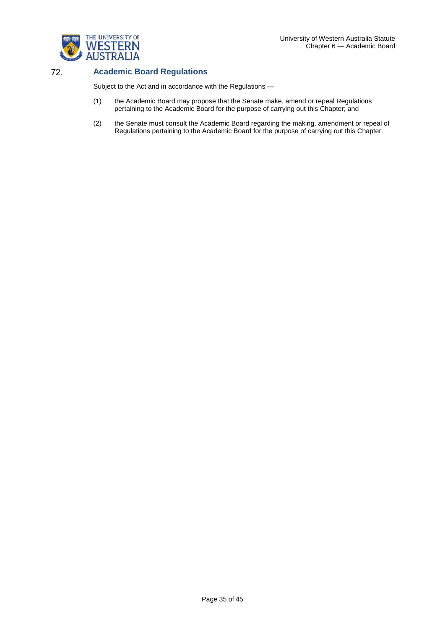

 $72.$ 

### **Academic Board Regulations**

Subject to the Act and in accordance with the Regulations —

- (1) the Academic Board may propose that the Senate make, amend or repeal Regulations pertaining to the Academic Board for the purpose of carrying out this Chapter; and
- (2) the Senate must consult the Academic Board regarding the making, amendment or repeal of Regulations pertaining to the Academic Board for the purpose of carrying out this Chapter.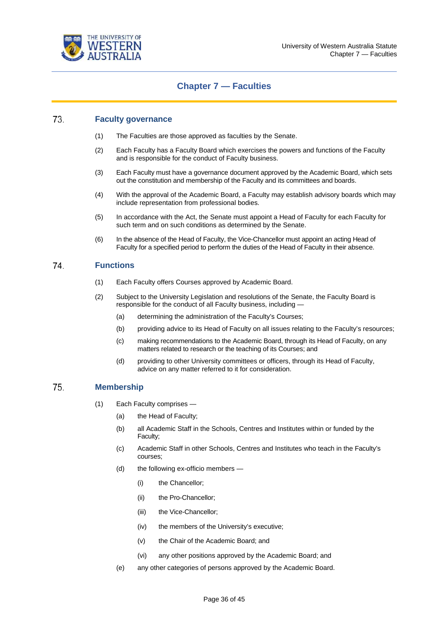

## **Chapter 7 — Faculties**

#### 73. **Faculty governance**

- (1) The Faculties are those approved as faculties by the Senate.
- (2) Each Faculty has a Faculty Board which exercises the powers and functions of the Faculty and is responsible for the conduct of Faculty business.
- (3) Each Faculty must have a governance document approved by the Academic Board, which sets out the constitution and membership of the Faculty and its committees and boards.
- (4) With the approval of the Academic Board, a Faculty may establish advisory boards which may include representation from professional bodies.
- (5) In accordance with the Act, the Senate must appoint a Head of Faculty for each Faculty for such term and on such conditions as determined by the Senate.
- (6) In the absence of the Head of Faculty, the Vice-Chancellor must appoint an acting Head of Faculty for a specified period to perform the duties of the Head of Faculty in their absence.

#### 74. **Functions**

- (1) Each Faculty offers Courses approved by Academic Board.
- (2) Subject to the University Legislation and resolutions of the Senate, the Faculty Board is responsible for the conduct of all Faculty business, including —
	- (a) determining the administration of the Faculty's Courses;
	- (b) providing advice to its Head of Faculty on all issues relating to the Faculty's resources;
	- (c) making recommendations to the Academic Board, through its Head of Faculty, on any matters related to research or the teaching of its Courses; and
	- (d) providing to other University committees or officers, through its Head of Faculty, advice on any matter referred to it for consideration.

#### 75. **Membership**

- (1) Each Faculty comprises
	- (a) the Head of Faculty;
	- (b) all Academic Staff in the Schools, Centres and Institutes within or funded by the Faculty;
	- (c) Academic Staff in other Schools, Centres and Institutes who teach in the Faculty's courses;
	- (d) the following ex-officio members
		- (i) the Chancellor;
		- (ii) the Pro-Chancellor;
		- (iii) the Vice-Chancellor;
		- (iv) the members of the University's executive;
		- (v) the Chair of the Academic Board; and
		- (vi) any other positions approved by the Academic Board; and
	- (e) any other categories of persons approved by the Academic Board.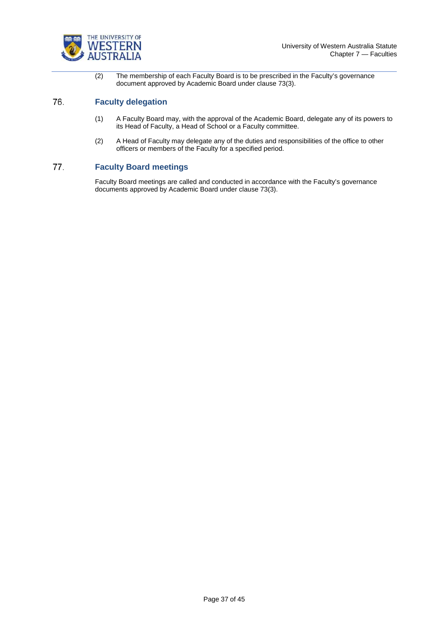

(2) The membership of each Faculty Board is to be prescribed in the Faculty's governance document approved by Academic Board under clause 73(3).

#### 76. **Faculty delegation**

- (1) A Faculty Board may, with the approval of the Academic Board, delegate any of its powers to its Head of Faculty, a Head of School or a Faculty committee.
- (2) A Head of Faculty may delegate any of the duties and responsibilities of the office to other officers or members of the Faculty for a specified period.

#### 77. **Faculty Board meetings**

Faculty Board meetings are called and conducted in accordance with the Faculty's governance documents approved by Academic Board under clause 73(3).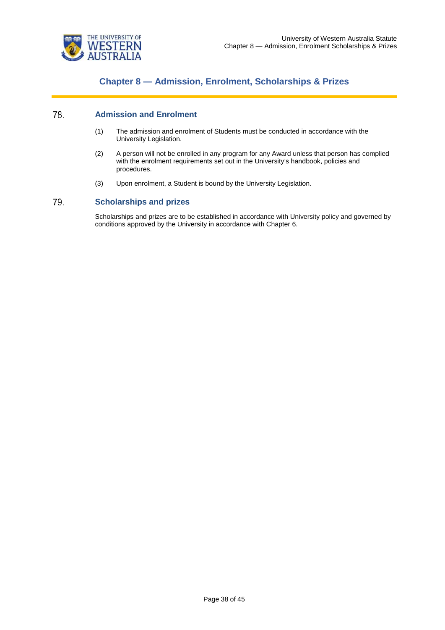

## **Chapter 8 — Admission, Enrolment, Scholarships & Prizes**

#### 78. **Admission and Enrolment**

- (1) The admission and enrolment of Students must be conducted in accordance with the University Legislation.
- (2) A person will not be enrolled in any program for any Award unless that person has complied with the enrolment requirements set out in the University's handbook, policies and procedures.
- (3) Upon enrolment, a Student is bound by the University Legislation.

#### 79. **Scholarships and prizes**

Scholarships and prizes are to be established in accordance with University policy and governed by conditions approved by the University in accordance with Chapter 6.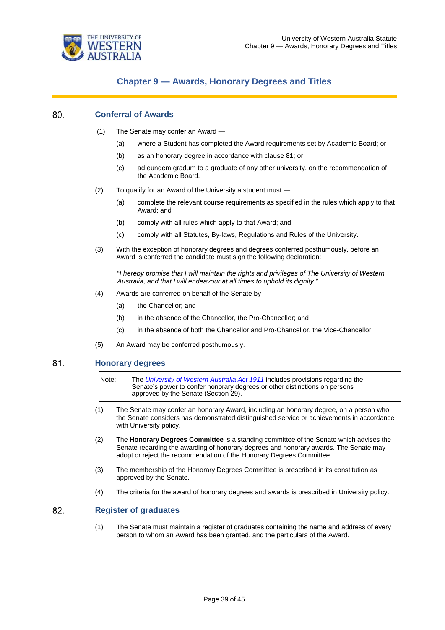

### **Chapter 9 — Awards, Honorary Degrees and Titles**

#### 80. **Conferral of Awards**

- (1) The Senate may confer an Award
	- (a) where a Student has completed the Award requirements set by Academic Board; or
	- (b) as an honorary degree in accordance with clause 81; or
	- (c) ad eundem gradum to a graduate of any other university, on the recommendation of the Academic Board.
- (2) To qualify for an Award of the University a student must
	- (a) complete the relevant course requirements as specified in the rules which apply to that Award; and
	- (b) comply with all rules which apply to that Award; and
	- (c) comply with all Statutes, By-laws, Regulations and Rules of the University.
- (3) With the exception of honorary degrees and degrees conferred posthumously, before an Award is conferred the candidate must sign the following declaration:

"*I hereby promise that I will maintain the rights and privileges of The University of Western Australia, and that I will endeavour at all times to uphold its dignity."*

- (4) Awards are conferred on behalf of the Senate by
	- (a) the Chancellor; and
	- (b) in the absence of the Chancellor, the Pro-Chancellor; and
	- (c) in the absence of both the Chancellor and Pro-Chancellor, the Vice-Chancellor.
- (5) An Award may be conferred posthumously.

#### 81. **Honorary degrees**

Note: The *[University of Western Australia Act 1911](https://www.legislation.wa.gov.au/legislation/statutes.nsf/law_a849.html)* includes provisions regarding the Senate's power to confer honorary degrees or other distinctions on persons approved by the Senate (Section 29).

- (1) The Senate may confer an honorary Award, including an honorary degree, on a person who the Senate considers has demonstrated distinguished service or achievements in accordance with University policy.
- (2) The **Honorary Degrees Committee** is a standing committee of the Senate which advises the Senate regarding the awarding of honorary degrees and honorary awards. The Senate may adopt or reject the recommendation of the Honorary Degrees Committee.
- (3) The membership of the Honorary Degrees Committee is prescribed in its constitution as approved by the Senate.
- (4) The criteria for the award of honorary degrees and awards is prescribed in University policy.

#### 82. **Register of graduates**

(1) The Senate must maintain a register of graduates containing the name and address of every person to whom an Award has been granted, and the particulars of the Award.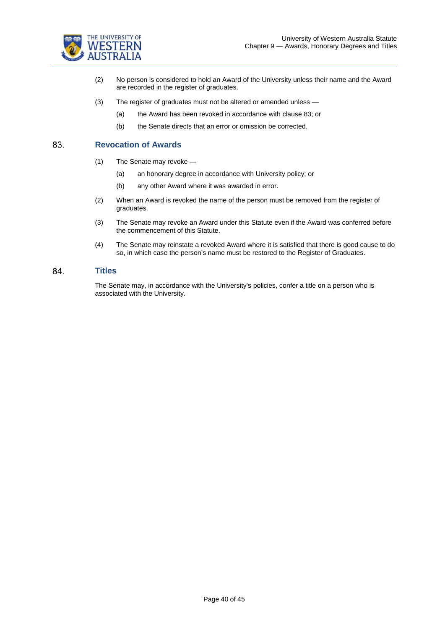

- (2) No person is considered to hold an Award of the University unless their name and the Award are recorded in the register of graduates.
- (3) The register of graduates must not be altered or amended unless
	- (a) the Award has been revoked in accordance with clause 83; or
	- (b) the Senate directs that an error or omission be corrected.

#### 83. **Revocation of Awards**

- (1) The Senate may revoke
	- (a) an honorary degree in accordance with University policy; or
	- (b) any other Award where it was awarded in error.
- (2) When an Award is revoked the name of the person must be removed from the register of graduates.
- (3) The Senate may revoke an Award under this Statute even if the Award was conferred before the commencement of this Statute.
- (4) The Senate may reinstate a revoked Award where it is satisfied that there is good cause to do so, in which case the person's name must be restored to the Register of Graduates.

#### 84. **Titles**

The Senate may, in accordance with the University's policies, confer a title on a person who is associated with the University.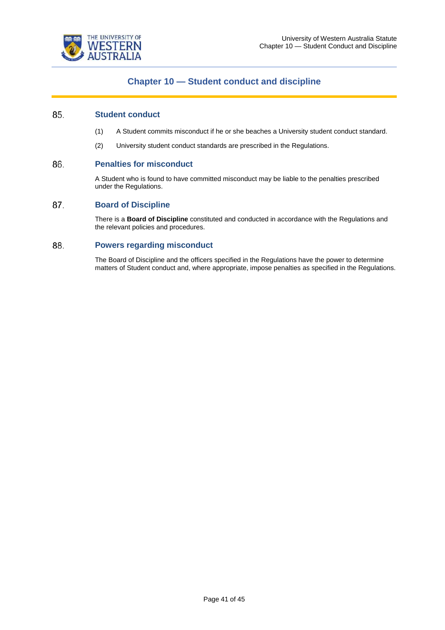



## **Chapter 10 — Student conduct and discipline**

#### 85. **Student conduct**

- (1) A Student commits misconduct if he or she beaches a University student conduct standard.
- (2) University student conduct standards are prescribed in the Regulations.

#### 86. **Penalties for misconduct**

A Student who is found to have committed misconduct may be liable to the penalties prescribed under the Regulations.

#### 87. **Board of Discipline**

There is a **Board of Discipline** constituted and conducted in accordance with the Regulations and the relevant policies and procedures.

#### 88. **Powers regarding misconduct**

The Board of Discipline and the officers specified in the Regulations have the power to determine matters of Student conduct and, where appropriate, impose penalties as specified in the Regulations.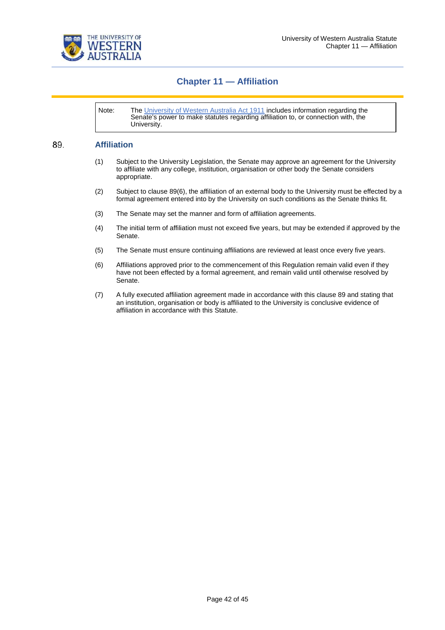

## **Chapter 11 — Affiliation**

Note: The [University of Western Australia Act 1911](https://www.legislation.wa.gov.au/legislation/statutes.nsf/law_a849.html) includes information regarding the Senate's power to make statutes regarding affiliation to, or connection with, the University.

#### 89. **Affiliation**

- (1) Subject to the University Legislation, the Senate may approve an agreement for the University to affiliate with any college, institution, organisation or other body the Senate considers appropriate.
- (2) Subject to clause 89(6), the affiliation of an external body to the University must be effected by a formal agreement entered into by the University on such conditions as the Senate thinks fit.
- (3) The Senate may set the manner and form of affiliation agreements.
- (4) The initial term of affiliation must not exceed five years, but may be extended if approved by the Senate.
- (5) The Senate must ensure continuing affiliations are reviewed at least once every five years.
- (6) Affiliations approved prior to the commencement of this Regulation remain valid even if they have not been effected by a formal agreement, and remain valid until otherwise resolved by Senate.
- (7) A fully executed affiliation agreement made in accordance with this clause 89 and stating that an institution, organisation or body is affiliated to the University is conclusive evidence of affiliation in accordance with this Statute.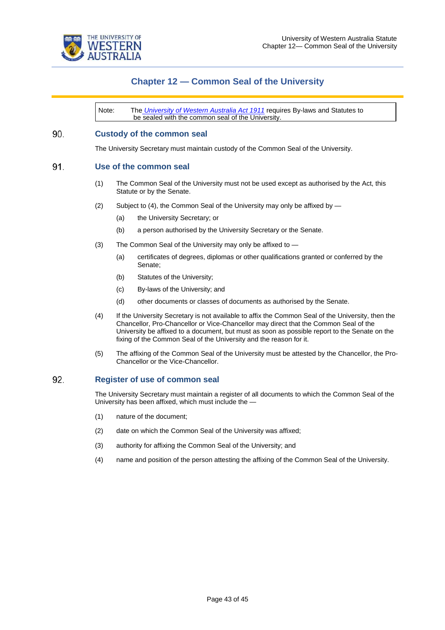

## **Chapter 12 — Common Seal of the University**

Note: The *[University of Western Australia Act 1911](https://www.legislation.wa.gov.au/legislation/statutes.nsf/law_a849.html)* requires By-laws and Statutes to be sealed with the common seal of the University.

#### 90. **Custody of the common seal**

The University Secretary must maintain custody of the Common Seal of the University.

#### 91. **Use of the common seal**

- (1) The Common Seal of the University must not be used except as authorised by the Act, this Statute or by the Senate.
- (2) Subject to (4), the Common Seal of the University may only be affixed by  $-$ 
	- (a) the University Secretary; or
	- (b) a person authorised by the University Secretary or the Senate.
- (3) The Common Seal of the University may only be affixed to
	- (a) certificates of degrees, diplomas or other qualifications granted or conferred by the Senate;
	- (b) Statutes of the University;
	- (c) By-laws of the University; and
	- (d) other documents or classes of documents as authorised by the Senate.
- (4) If the University Secretary is not available to affix the Common Seal of the University, then the Chancellor, Pro-Chancellor or Vice-Chancellor may direct that the Common Seal of the University be affixed to a document, but must as soon as possible report to the Senate on the fixing of the Common Seal of the University and the reason for it.
- (5) The affixing of the Common Seal of the University must be attested by the Chancellor, the Pro-Chancellor or the Vice-Chancellor.

#### 92. **Register of use of common seal**

The University Secretary must maintain a register of all documents to which the Common Seal of the University has been affixed, which must include the —

- (1) nature of the document;
- (2) date on which the Common Seal of the University was affixed;
- (3) authority for affixing the Common Seal of the University; and
- (4) name and position of the person attesting the affixing of the Common Seal of the University.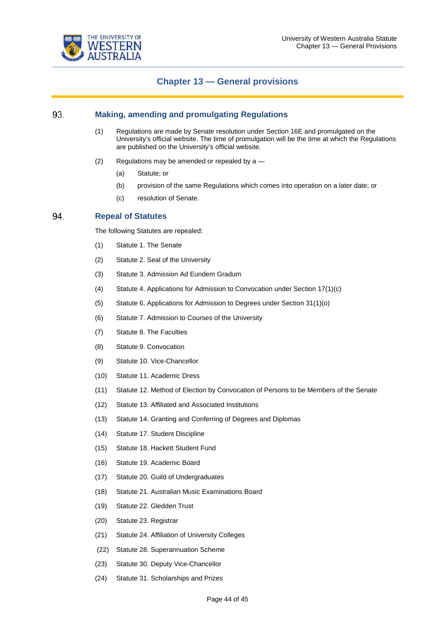

### **Chapter 13 — General provisions**

#### 93. **Making, amending and promulgating Regulations**

- (1) Regulations are made by Senate resolution under Section 16E and promulgated on the University's official website. The time of promulgation will be the time at which the Regulations are published on the University's official website.
- (2) Regulations may be amended or repealed by  $a$ 
	- (a) Statute; or
	- (b) provision of the same Regulations which comes into operation on a later date; or
	- (c) resolution of Senate.

#### 94. **Repeal of Statutes**

The following Statutes are repealed:

- (1) Statute 1. The Senate
- (2) Statute 2. Seal of the University
- (3) Statute 3. Admission Ad Eundem Gradum
- (4) Statute 4. Applications for Admission to Convocation under Section 17(1)(c)
- (5) Statute 6. Applications for Admission to Degrees under Section 31(1)(o)
- (6) Statute 7. Admission to Courses of the University
- (7) Statute 8. The Faculties
- (8) Statute 9. Convocation
- (9) Statute 10. Vice-Chancellor
- (10) Statute 11. Academic Dress
- (11) Statute 12. Method of Election by Convocation of Persons to be Members of the Senate
- (12) Statute 13. Affiliated and Associated Institutions
- (13) Statute 14. Granting and Conferring of Degrees and Diplomas
- (14) Statute 17. Student Discipline
- (15) Statute 18. Hackett Student Fund
- (16) Statute 19. Academic Board
- (17) Statute 20. Guild of Undergraduates
- (18) Statute 21. Australian Music Examinations Board
- (19) Statute 22. Gledden Trust
- (20) Statute 23. Registrar
- (21) Statute 24. Affiliation of University Colleges
- (22) Statute 28. Superannuation Scheme
- (23) Statute 30. Deputy Vice-Chancellor
- (24) Statute 31. Scholarships and Prizes